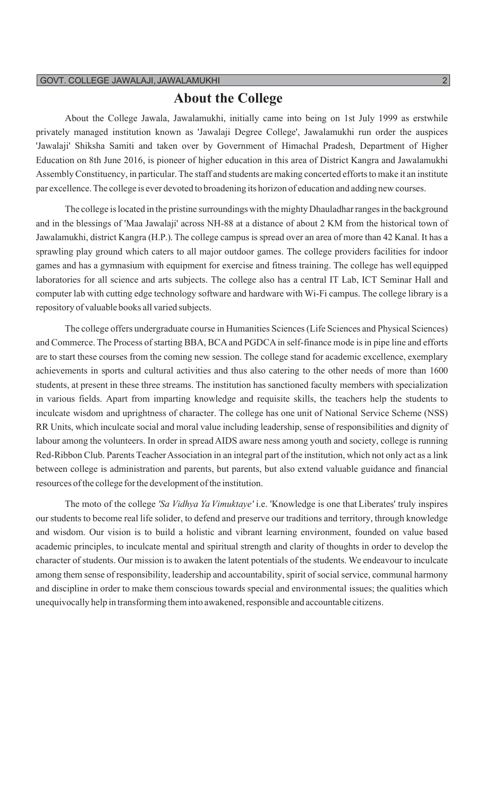### **About the College**

About the College Jawala, Jawalamukhi, initially came into being on 1st July 1999 as erstwhile privately managed institution known as 'Jawalaji Degree College', Jawalamukhi run order the auspices 'Jawalaji' Shiksha Samiti and taken over by Government of Himachal Pradesh, Department of Higher Education on 8th June 2016, is pioneer of higher education in this area of District Kangra and Jawalamukhi Assembly Constituency, in particular. The staff and students are making concerted efforts to make it an institute par excellence.The college is ever devoted to broadening its horizon of education and adding new courses.

The college is located in the pristine surroundings with the mighty Dhauladharranges in the background and in the blessings of 'Maa Jawalaji' across NH-88 at a distance of about 2 KM from the historical town of Jawalamukhi, district Kangra (H.P.). The college campus is spread over an area of more than 42 Kanal. It has a sprawling play ground which caters to all major outdoor games. The college providers facilities for indoor games and has a gymnasium with equipment for exercise and fitness training. The college has well equipped laboratories for all science and arts subjects. The college also has a central IT Lab, ICT Seminar Hall and computer lab with cutting edge technology software and hardware with Wi-Fi campus. The college library is a repository of valuable books all varied subjects.

The college offers undergraduate course in Humanities Sciences(Life Sciences and Physical Sciences) and Commerce. The Process of starting BBA, BCA and PGDCA in self-finance mode is in pipe line and efforts are to start these courses from the coming new session. The college stand for academic excellence, exemplary achievements in sports and cultural activities and thus also catering to the other needs of more than 1600 students, at present in these three streams. The institution has sanctioned faculty members with specialization in various fields. Apart from imparting knowledge and requisite skills, the teachers help the students to inculcate wisdom and uprightness of character. The college has one unit of National Service Scheme (NSS) RR Units, which inculcate social and moral value including leadership, sense of responsibilities and dignity of labour among the volunteers. In order in spread AIDS aware ness among youth and society, college is running Red-Ribbon Club. Parents Teacher Association in an integral part of the institution, which not only act as a link between college is administration and parents, but parents, but also extend valuable guidance and financial resources of the college for the development of the institution.

The moto of the college *'Sa Vidhya Ya Vimuktaye'* i.e. 'Knowledge is one that Liberates' truly inspires our students to become real life solider, to defend and preserve our traditions and territory, through knowledge and wisdom. Our vision is to build a holistic and vibrant learning environment, founded on value based academic principles, to inculcate mental and spiritual strength and clarity of thoughts in order to develop the character of students. Our mission is to awaken the latent potentials of the students. We endeavour to inculcate among them sense of responsibility, leadership and accountability, spirit of social service, communal harmony and discipline in order to make them conscious towards special and environmental issues; the qualities which unequivocally help in transforming them into awakened, responsible and accountable citizens.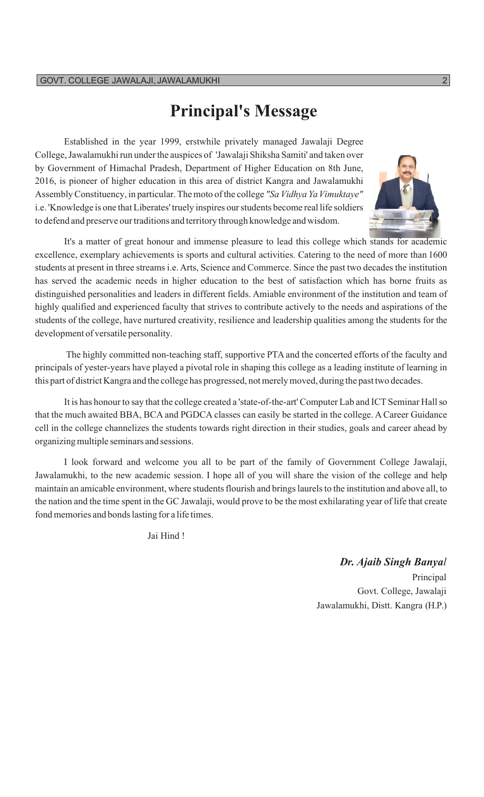## **Principal's Message**

Established in the year 1999, erstwhile privately managed Jawalaji Degree College, Jawalamukhi run under the auspices of 'Jawalaji Shiksha Samiti' and taken over by Government of Himachal Pradesh, Department of Higher Education on 8th June, 2016, is pioneer of higher education in this area of district Kangra and Jawalamukhi AssemblyConstituency, in particular.The moto ofthe college *"Sa Vidhya YaVimuktaye"* i.e. 'Knowledge is one that Liberates' truely inspires ourstudents become real life soldiers to defend and preserve our traditions and territory through knowledge and wisdom.



It's a matter of great honour and immense pleasure to lead this college which stands for academic excellence, exemplary achievements is sports and cultural activities. Catering to the need of more than 1600 students at present in three streams i.e. Arts, Science and Commerce. Since the past two decades the institution has served the academic needs in higher education to the best of satisfaction which has borne fruits as distinguished personalities and leaders in different fields. Amiable environment of the institution and team of highly qualified and experienced faculty that strives to contribute actively to the needs and aspirations of the students of the college, have nurtured creativity, resilience and leadership qualities among the students for the development of versatile personality.

The highly committed non-teaching staff, supportive PTA and the concerted efforts of the faculty and principals of yester-years have played a pivotal role in shaping this college as a leading institute of learning in this part of district Kangra and the college has progressed, notmerelymoved, during the past two decades.

It is has honour to say that the college created a 'state-of-the-art' Computer Lab and ICT Seminar Hall so that the much awaited BBA, BCA and PGDCA classes can easily be started in the college.A Career Guidance cell in the college channelizes the students towards right direction in their studies, goals and career ahead by organizingmultiple seminars and sessions.

I look forward and welcome you all to be part of the family of Government College Jawalaji, Jawalamukhi, to the new academic session. I hope all of you will share the vision of the college and help maintain an amicable environment, where students flourish and brings laurels to the institution and above all, to the nation and the time spent in the GC Jawalaji, would prove to be the most exhilarating year of life that create fond memories and bonds lasting for a life times.

Jai Hind !

*Dr. Ajaib Singh Banyal*

Principal Govt. College, Jawalaji Jawalamukhi, Distt. Kangra (H.P.)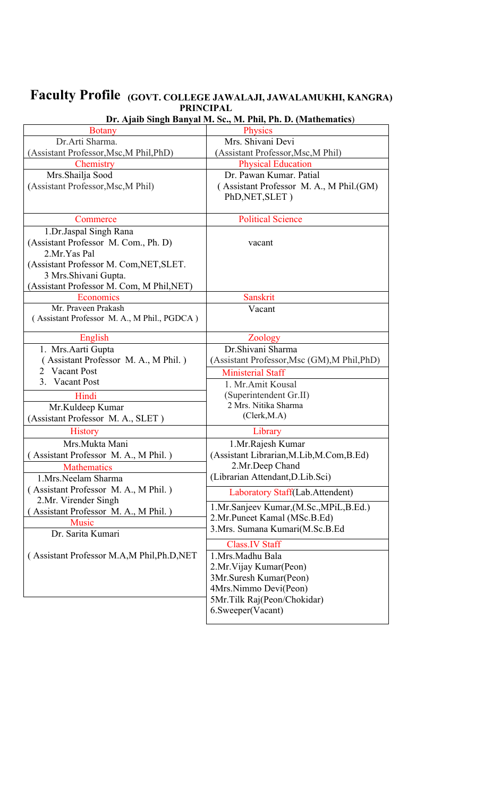### **Faculty Profile (GOVT. COLLEGE JAWALAJI, JAWALAMUKHI, KANGRA) PRINCIPAL**

| <b>Botany</b>                               | <b>Physics</b>                               |
|---------------------------------------------|----------------------------------------------|
| Dr.Arti Sharma.                             | Mrs. Shivani Devi                            |
| (Assistant Professor, Msc, M Phil, PhD)     | (Assistant Professor, Msc, M Phil)           |
| Chemistry                                   | <b>Physical Education</b>                    |
| Mrs.Shailja Sood                            | Dr. Pawan Kumar, Patial                      |
| (Assistant Professor, Msc, M Phil)          | (Assistant Professor M. A., M Phil.(GM)      |
|                                             | PhD, NET, SLET)                              |
|                                             |                                              |
| Commerce                                    | <b>Political Science</b>                     |
| 1.Dr.Jaspal Singh Rana                      |                                              |
| (Assistant Professor M. Com., Ph. D)        | vacant                                       |
| 2.Mr. Yas Pal                               |                                              |
| (Assistant Professor M. Com, NET, SLET.     |                                              |
| 3 Mrs. Shivani Gupta.                       |                                              |
| (Assistant Professor M. Com, M Phil, NET)   |                                              |
| Economics                                   | <b>Sanskrit</b>                              |
| Mr. Praveen Prakash                         | Vacant                                       |
| (Assistant Professor M. A., M Phil., PGDCA) |                                              |
| English                                     | Zoology                                      |
| 1. Mrs. Aarti Gupta                         | Dr.Shivani Sharma                            |
| Assistant Professor M. A., M Phil.)         | (Assistant Professor, Msc (GM), M Phil, PhD) |
| Vacant Post<br>2                            | <b>Ministerial Staff</b>                     |
| 3. Vacant Post                              | 1. Mr.Amit Kousal                            |
| Hindi                                       | (Superintendent Gr.II)                       |
| Mr.Kuldeep Kumar                            | 2 Mrs. Nitika Sharma                         |
| (Assistant Professor M. A., SLET)           | (Clerk, M.A)                                 |
| <b>History</b>                              | Library                                      |
|                                             |                                              |
| Mrs.Mukta Mani                              | 1.Mr.Rajesh Kumar                            |
| Assistant Professor M. A., M Phil.)         | (Assistant Librarian, M.Lib, M.Com, B.Ed)    |
| <b>Mathematics</b>                          | 2.Mr.Deep Chand                              |
| 1.Mrs.Neelam Sharma                         | (Librarian Attendant, D.Lib.Sci)             |
| (Assistant Professor M. A., M Phil.)        | Laboratory Staff(Lab.Attendent)              |
| 2.Mr. Virender Singh                        | 1.Mr.Sanjeev Kumar, (M.Sc., MPiL, B.Ed.)     |
| Assistant Professor M. A., M Phil.)         | 2.Mr.Puneet Kamal (MSc.B.Ed)                 |
| <b>Music</b>                                | 3.Mrs. Sumana Kumari(M.Sc.B.Ed               |
| Dr. Sarita Kumari                           |                                              |
|                                             | <b>Class.IV Staff</b>                        |
| (Assistant Professor M.A,M Phil, Ph.D, NET  | 1.Mrs.Madhu Bala                             |
|                                             | 2.Mr. Vijay Kumar (Peon)                     |
|                                             | 3Mr.Suresh Kumar(Peon)                       |
|                                             | 4Mrs.Nimmo Devi(Peon)                        |
|                                             | 5Mr.Tilk Raj(Peon/Chokidar)                  |
|                                             | 6. Sweeper (Vacant)                          |
|                                             |                                              |

### **Dr. Ajaib Singh Banyal M. Sc., M. Phil, Ph. D. (Mathematics**)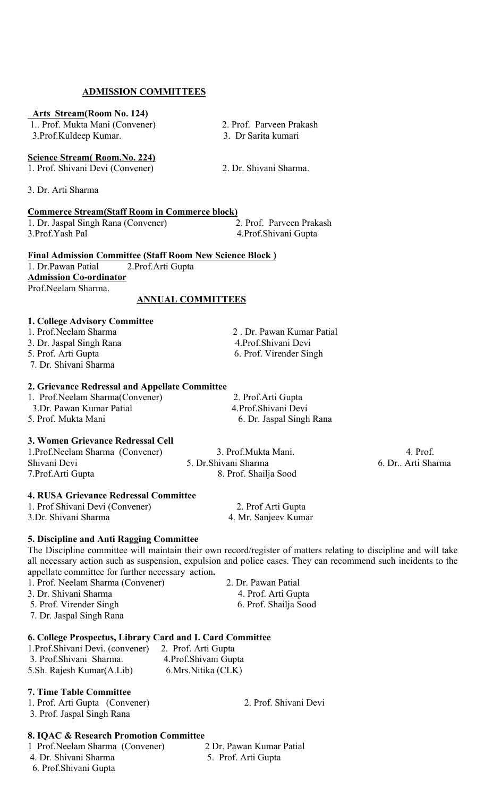### **ADMISSION COMMITTEES**

#### **Arts Stream(Room No. 124)**

 1.. Prof. Mukta Mani (Convener) 2. Prof. Parveen Prakash 3.Prof.Kuldeep Kumar. 3. Dr Sarita kumari

#### **Science Stream( Room.No. 224)**

1. Prof. Shivani Devi (Convener) 2. Dr. Shivani Sharma.

3. Dr. Arti Sharma

#### **Commerce Stream(Staff Room in Commerce block)**

1. Dr. Jaspal Singh Rana (Convener) 2. Prof. Parveen Prakash 3.Prof.Yash Pal 4.Prof.Shivani Gupta

#### **Final Admission Committee (Staff Room New Science Block )**

1. Dr.Pawan Patial 2.Prof.Arti Gupta **Admission Co-ordinator** Prof.Neelam Sharma.

#### **ANNUAL COMMITTEES**

#### **1. College Advisory Committee**

- 1. Prof.Neelam Sharma 2 . Dr. Pawan Kumar Patial
- 3. Dr. Jaspal Singh Rana  $\begin{array}{ccc} 4. \text{Prof. Shivani Devi} \\ 5. \text{ Prof. Arti Gupta} \end{array}$
- 
- 7. Dr. Shivani Sharma

#### **2. Grievance Redressal and Appellate Committee**

| 1. Prof. Neelam Sharma (Convener) | 2. Prof. Arti Gupta      |
|-----------------------------------|--------------------------|
| 3.Dr. Pawan Kumar Patial          | 4. Prof. Shivani Devi    |
| 5. Prof. Mukta Mani               | 6. Dr. Jaspal Singh Rana |

#### **3. Women Grievance Redressal Cell**

| 1. Prof. Neelam Sharma (Convener) | 3. Prof.Mukta Mani.   | 4. Prof.            |
|-----------------------------------|-----------------------|---------------------|
| Shivani Devi                      | 5. Dr. Shivani Sharma | 6. Dr., Arti Sharma |
| 7. Prof. Arti Gupta               | 8. Prof. Shailja Sood |                     |

#### **4. RUSA Grievance Redressal Committee**

1. Prof Shivani Devi (Convener) 2. Prof Arti Gupta 3.Dr. Shivani Sharma 4. Mr. Sanjeev Kumar

#### **5. Discipline and Anti Ragging Committee**

The Discipline committee will maintain their own record/register of matters relating to discipline and will take all necessary action such as suspension, expulsion and police cases. They can recommend such incidents to the appellate committee for further necessary action**.** 

1. Prof. Neelam Sharma (Convener) 2. Dr. Pawan Patial

3. Dr. Shivani Sharma 4. Prof. Arti Gupta

5. Prof. Virender Singh 6. Prof. Shailja Sood

7. Dr. Jaspal Singh Rana

#### **6. College Prospectus, Library Card and I. Card Committee**

| 1. Prof. Shivani Devi. (convener) | 2. Prof. Arti Gupta    |  |
|-----------------------------------|------------------------|--|
| 3. Prof. Shivani Sharma.          | 4. Prof. Shivani Gupta |  |
| 5. Sh. Rajesh Kumar (A. Lib)      | 6. Mrs. Nitika (CLK)   |  |

### **7. Time Table Committee**

1. Prof. Arti Gupta (Convener) 2. Prof. Shivani Devi 3. Prof. Jaspal Singh Rana

#### **8. IQAC & Research Promotion Committee**

1 Prof.Neelam Sharma (Convener) 2 Dr. Pawan Kumar Patial 4. Dr. Shivani Sharma 5. Prof. Arti Gupta 6. Prof.Shivani Gupta

6. Prof. Virender Singh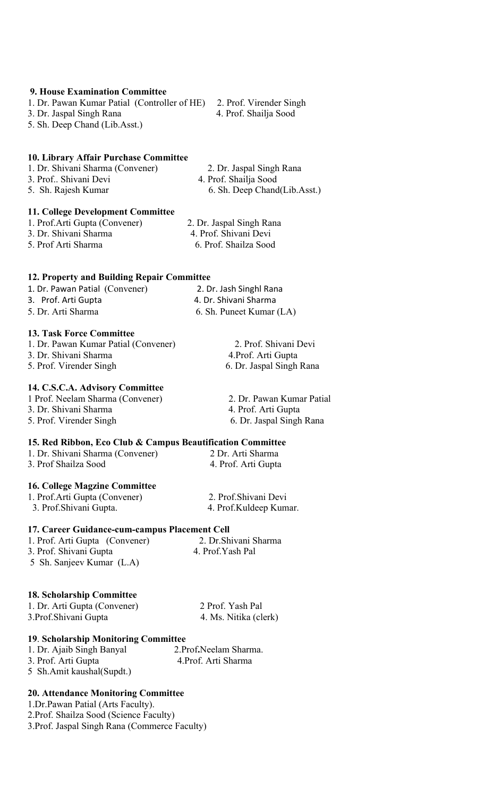### **9. House Examination Committee**

1. Dr. Pawan Kumar Patial (Controller of HE) 2. Prof. Virender Singh 3. Dr. Jaspal Singh Rana 4. Prof. Shailja Sood 5. Sh. Deep Chand (Lib.Asst.)

### **10. Library Affair Purchase Committee**

| 1. Dr. Shivani Sharma (Convener) | 2. Dr. Jaspal Singh Rana     |  |
|----------------------------------|------------------------------|--|
| 3. Prof Shivani Devi             | 4. Prof. Shailja Sood        |  |
| 5. Sh. Rajesh Kumar              | 6. Sh. Deep Chand(Lib.Asst.) |  |

### **11. College Development Committee**

1. Prof.Arti Gupta (Convener) 2. Dr. Jaspal Singh Rana 3. Dr. Shivani Sharma 4. Prof. Shivani Devi 5. Prof Arti Sharma 6. Prof. Shailza Sood

### **12. Property and Building Repair Committee**

| 1. Dr. Pawan Patial (Convener) | 2. Dr. Jash Singhl Rana  |
|--------------------------------|--------------------------|
| 3. Prof. Arti Gupta            | 4. Dr. Shivani Sharma    |
| 5. Dr. Arti Sharma             | 6. Sh. Puneet Kumar (LA) |

### **13. Task Force Committee**

| 1. Dr. Pawan Kumar Patial (Convener) |  |
|--------------------------------------|--|
| 3. Dr. Shivani Sharma                |  |
| 5. Prof. Virender Singh              |  |

### **14. C.S.C.A. Advisory Committee**

| 1 Prof. Neelam Sharma (Convener) | 2. Dr. Pawan Kumar Patial |
|----------------------------------|---------------------------|
| 3. Dr. Shivani Sharma            | 4. Prof. Arti Gupta       |
| 5. Prof. Virender Singh          | 6. Dr. Jaspal Singh Rana  |

### **15. Red Ribbon, Eco Club & Campus Beautification Committee**

| 1. Dr. Shivani Sharma (Convener) | 2 Dr. Arti Sharma   |
|----------------------------------|---------------------|
| 3. Prof Shailza Sood             | 4. Prof. Arti Gupta |

### **16. College Magzine Committee**

1. Prof.Arti Gupta (Convener) 2. Prof.Shivani Devi 3. Prof.Shivani Gupta. 4. Prof.Kuldeep Kumar.

### **17. Career Guidance-cum-campus Placement Cell**

| 1. Prof. Arti Gupta (Convener) | 2. Dr. Shivani Sharma |  |
|--------------------------------|-----------------------|--|
| 3. Prof. Shivani Gupta         | 4. Prof.Yash Pal      |  |
| 5 Sh. Sanjeev Kumar (L.A)      |                       |  |

### **18. Scholarship Committee**

| 1. Dr. Arti Gupta (Convener) | 2 Prof. Yash Pal      |
|------------------------------|-----------------------|
| 3. Prof. Shivani Gupta       | 4. Ms. Nitika (clerk) |

### **19**. **Scholarship Monitoring Committee**

| 1. Dr. Ajaib Singh Banyal  | 2. Prof. Neelam Sharma. |  |
|----------------------------|-------------------------|--|
| 3. Prof. Arti Gupta        | 4. Prof. Arti Sharma    |  |
| 5 Sh.Amit kaushal (Supdt.) |                         |  |

### **20. Attendance Monitoring Committee**

1.Dr.Pawan Patial (Arts Faculty). 2.Prof. Shailza Sood (Science Faculty) 3.Prof. Jaspal Singh Rana (Commerce Faculty)

2. Prof. Shivani Devi

4. Prof. Arti Gupta 6. Dr. Jaspal Singh Rana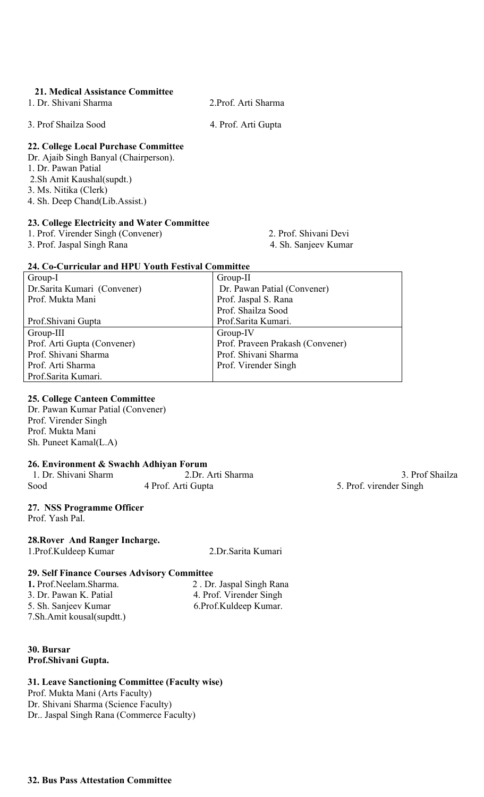### **21. Medical Assistance Committee**

1. Dr. Shivani Sharma 2.Prof. Arti Sharma

3. Prof Shailza Sood 4. Prof. Arti Gupta

### **22. College Local Purchase Committee**

Dr. Ajaib Singh Banyal (Chairperson). 1. Dr. Pawan Patial 2.Sh Amit Kaushal(supdt.) 3. Ms. Nitika (Clerk) 4. Sh. Deep Chand(Lib.Assist.)

### **23. College Electricity and Water Committee**

1. Prof. Virender Singh (Convener) 2. Prof. Shivani Devi

3. Prof. Jaspal Singh Rana 4. Sh. Sanjeev Kumar

### **24. Co-Curricular and HPU Youth Festival Committee**

| Group-I                      | Group-II                         |
|------------------------------|----------------------------------|
| Dr. Sarita Kumari (Convener) | Dr. Pawan Patial (Convener)      |
| Prof. Mukta Mani             | Prof. Jaspal S. Rana             |
|                              | Prof. Shailza Sood               |
| Prof. Shivani Gupta          | Prof.Sarita Kumari.              |
| Group-III                    | Group-IV                         |
| Prof. Arti Gupta (Convener)  | Prof. Praveen Prakash (Convener) |
| Prof. Shivani Sharma         | Prof. Shivani Sharma             |
| Prof. Arti Sharma            | Prof. Virender Singh             |
| Prof.Sarita Kumari.          |                                  |

### **25. College Canteen Committee**

Dr. Pawan Kumar Patial (Convener) Prof. Virender Singh Prof. Mukta Mani Sh. Puneet Kamal(L.A)

### **26. Environment & Swachh Adhiyan Forum**

| 1. Dr. Shivani Sharm | 2.Dr. Arti Sharma  |
|----------------------|--------------------|
| Sood                 | 4 Prof. Arti Gupta |

### **27. NSS Programme Officer**

Prof. Yash Pal.

### **28.Rover And Ranger Incharge.**

1.Prof.Kuldeep Kumar 2.Dr.Sarita Kumari

### **29. Self Finance Courses Advisory Committee**

| 2. Dr. Jaspal Singh Rana |  |
|--------------------------|--|
| 4. Prof. Virender Singh  |  |
| 6. Prof. Kuldeep Kumar.  |  |
|                          |  |
|                          |  |

### **30. Bursar Prof.Shivani Gupta.**

### **31. Leave Sanctioning Committee (Faculty wise)**

Prof. Mukta Mani (Arts Faculty) Dr. Shivani Sharma (Science Faculty) Dr.. Jaspal Singh Rana (Commerce Faculty)

3. Prof Shailza 5. Prof. virender Singh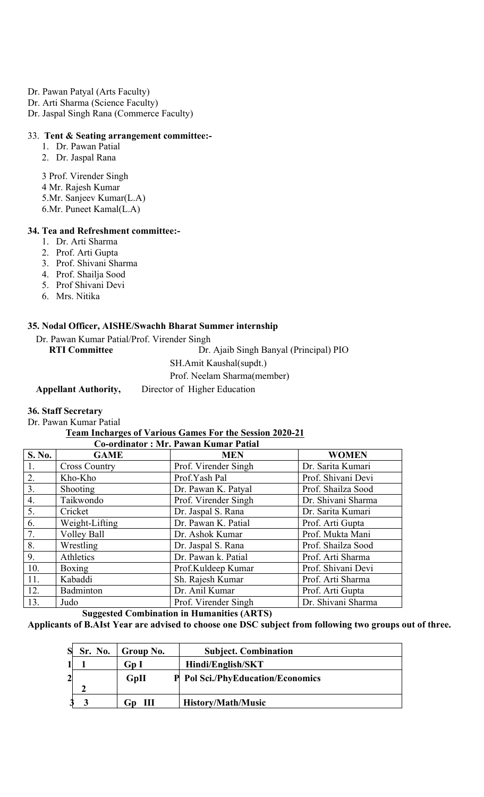- Dr. Pawan Patyal (Arts Faculty)
- Dr. Arti Sharma (Science Faculty)
- Dr. Jaspal Singh Rana (Commerce Faculty)

#### 33. **Tent & Seating arrangement committee:-**

- 1. Dr. Pawan Patial
- 2. Dr. Jaspal Rana

3 Prof. Virender Singh

- 4 Mr. Rajesh Kumar
- 5.Mr. Sanjeev Kumar(L.A)
- 6.Mr. Puneet Kamal(L.A)

#### **34. Tea and Refreshment committee:-**

- 1. Dr. Arti Sharma
- 2. Prof. Arti Gupta
- 3. Prof. Shivani Sharma
- 4. Prof. Shailja Sood
- 5. Prof Shivani Devi
- 6. Mrs. Nitika

#### **35. Nodal Officer, AISHE/Swachh Bharat Summer internship**

Dr. Pawan Kumar Patial/Prof. Virender Singh

**RTI Committee** Dr. Ajaib Singh Banyal (Principal) PIO SH.Amit Kaushal(supdt.) Prof. Neelam Sharma(member) **Appellant Authority,** Director of Higher Education

#### **36. Staff Secretary**

Dr. Pawan Kumar Patial

### **Team Incharges of Various Games For the Session 2020-21**

|                |                      | <b>Co-ordinator: Mr. Pawan Kumar Patial</b> |                    |
|----------------|----------------------|---------------------------------------------|--------------------|
| <b>S. No.</b>  | <b>GAME</b>          | <b>MEN</b>                                  | <b>WOMEN</b>       |
| $\mathbf{1}$ . | <b>Cross Country</b> | Prof. Virender Singh                        | Dr. Sarita Kumari  |
| 2.             | Kho-Kho              | Prof.Yash Pal                               | Prof. Shivani Devi |
| 3.             | Shooting             | Dr. Pawan K. Patyal                         | Prof. Shailza Sood |
| 4.             | Taikwondo            | Prof. Virender Singh                        | Dr. Shivani Sharma |
| 5.             | Cricket              | Dr. Jaspal S. Rana                          | Dr. Sarita Kumari  |
| 6.             | Weight-Lifting       | Dr. Pawan K. Patial                         | Prof. Arti Gupta   |
| 7.             | Volley Ball          | Dr. Ashok Kumar                             | Prof. Mukta Mani   |
| 8.             | Wrestling            | Dr. Jaspal S. Rana                          | Prof. Shailza Sood |
| 9.             | Athletics            | Dr. Pawan k. Patial                         | Prof. Arti Sharma  |
| 10.            | <b>Boxing</b>        | Prof.Kuldeep Kumar                          | Prof. Shivani Devi |
| 11.            | Kabaddi              | Sh. Rajesh Kumar                            | Prof. Arti Sharma  |
| 12.            | Badminton            | Dr. Anil Kumar                              | Prof. Arti Gupta   |
| 13.            | Judo                 | Prof. Virender Singh                        | Dr. Shivani Sharma |

 **Suggested Combination in Humanities (ARTS)**

**Applicants of B.AIst Year are advised to choose one DSC subject from following two groups out of three.**

|                | Sr. No. | Group No.  | <b>Subject. Combination</b>              |
|----------------|---------|------------|------------------------------------------|
|                |         | GpI        | Hindi/English/SKT                        |
| $\overline{2}$ |         | GpII       | <b>P</b> Pol Sci./PhyEducation/Economics |
|                |         |            |                                          |
|                |         | -111<br>Gn | <b>History/Math/Music</b>                |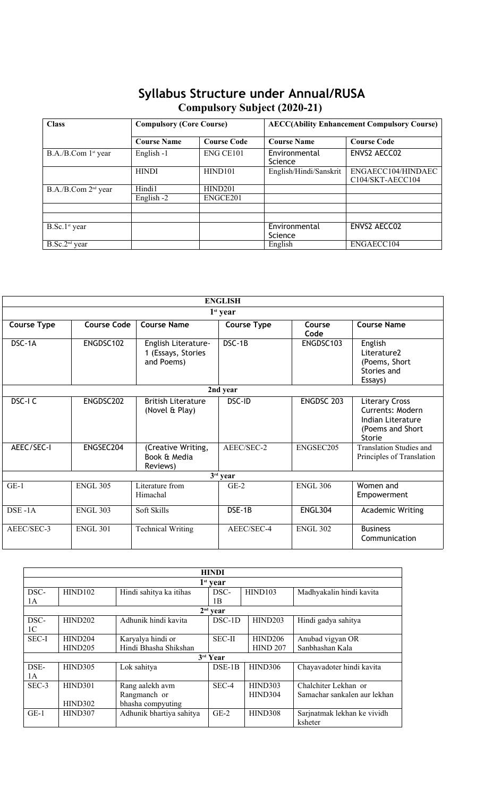### **Syllabus Structure under Annual/RUSA Compulsory Subject (2020-21)**

| <b>Class</b>                    |                    | <b>Compulsory (Core Course)</b> |                          | <b>AECC(Ability Enhancement Compulsory Course)</b> |  |  |
|---------------------------------|--------------------|---------------------------------|--------------------------|----------------------------------------------------|--|--|
|                                 | <b>Course Name</b> | <b>Course Code</b>              | <b>Course Name</b>       | <b>Course Code</b><br>ENVS2 AECC02                 |  |  |
| B.A./B.Com 1 <sup>st</sup> year | English -1         | ENG CE101                       | Environmental<br>Science |                                                    |  |  |
|                                 | <b>HINDI</b>       | HIND <sub>101</sub>             | English/Hindi/Sanskrit   | ENGAECC104/HINDAEC<br>C104/SKT-AECC104             |  |  |
| B.A./B.Com 2 <sup>nd</sup> year | Hindi1             | HIND201                         |                          |                                                    |  |  |
|                                 | English -2         | ENGCE201                        |                          |                                                    |  |  |
| $B.Sc.1st$ year                 |                    |                                 | Environmental<br>Science | ENVS2 AECC02                                       |  |  |
| $B.Sc.2nd$ year                 |                    |                                 | English                  | ENGAECC104                                         |  |  |

|                    |                    |                                                         | <b>ENGLISH</b>     |                 |                                                                                              |
|--------------------|--------------------|---------------------------------------------------------|--------------------|-----------------|----------------------------------------------------------------------------------------------|
|                    |                    |                                                         | $1st$ year         |                 |                                                                                              |
| <b>Course Type</b> | <b>Course Code</b> | <b>Course Name</b>                                      | <b>Course Type</b> | Course<br>Code  | <b>Course Name</b>                                                                           |
| DSC-1A             | ENGDSC102          | English Literature-<br>1 (Essays, Stories<br>and Poems) | DSC-1B             | ENGDSC103       | English<br>Literature2<br>(Poems, Short<br>Stories and<br>Essays)                            |
|                    |                    |                                                         | 2nd year           |                 |                                                                                              |
| DSC-I C            | ENGDSC202          | <b>British Literature</b><br>(Novel & Play)             | DSC-ID             | ENGDSC 203      | <b>Literary Cross</b><br>Currents: Modern<br>Indian Literature<br>(Poems and Short<br>Storie |
| AEEC/SEC-I         | ENGSEC204          | (Creative Writing,<br>Book & Media<br>Reviews)          | AEEC/SEC-2         | ENGSEC205       | <b>Translation Studies and</b><br>Principles of Translation                                  |
|                    |                    |                                                         | $3rd$ year         |                 |                                                                                              |
| $GE-1$             | <b>ENGL 305</b>    | Literature from<br>Himachal                             | $GE-2$             | <b>ENGL 306</b> | Women and<br>Empowerment                                                                     |
| $DSE - 1A$         | <b>ENGL 303</b>    | Soft Skills                                             | DSE-1B             | <b>ENGL304</b>  | <b>Academic Writing</b>                                                                      |
| AEEC/SEC-3         | <b>ENGL 301</b>    | <b>Technical Writing</b>                                | AEEC/SEC-4         | <b>ENGL 302</b> | <b>Business</b><br>Communication                                                             |

|                |                |                          | <b>HINDI</b>      |                 |                              |
|----------------|----------------|--------------------------|-------------------|-----------------|------------------------------|
|                |                |                          | $1^{\rm st}$ year |                 |                              |
| DSC-           | <b>HIND102</b> | Hindi sahitya ka itihas  | DSC-              | HIND103         | Madhyakalin hindi kavita     |
| 1A             |                |                          | 1B                |                 |                              |
|                |                |                          | $2nd$ year        |                 |                              |
| DSC-           | HIND202        | Adhunik hindi kavita     | DSC-1D            | HIND203         | Hindi gadya sahitya          |
| 1 <sup>C</sup> |                |                          |                   |                 |                              |
| SEC-I          | HIND204        | Karyalya hindi or        | <b>SEC-II</b>     | HIND206         | Anubad vigyan OR             |
|                | HIND205        | Hindi Bhasha Shikshan    |                   | <b>HIND 207</b> | Sanbhashan Kala              |
|                |                |                          | $3rd$ Year        |                 |                              |
| DSE-           | HIND305        | Lok sahitya              | $DSE-1B$          | <b>HIND306</b>  | Chayavadoter hindi kavita    |
| 1A             |                |                          |                   |                 |                              |
| SEC-3          | HIND301        | Rang aalekh avm          | SEC-4             | HIND303         | Chalchiter Lekhan or         |
|                |                | Rangmanch or             |                   | HIND304         | Samachar sankalen aur lekhan |
|                | <b>HIND302</b> | bhasha compyuting        |                   |                 |                              |
| $GE-1$         | HIND307        | Adhunik bhartiya sahitya | $GE-2$            | HIND308         | Sarjnatmak lekhan ke vividh  |
|                |                |                          |                   |                 | ksheter                      |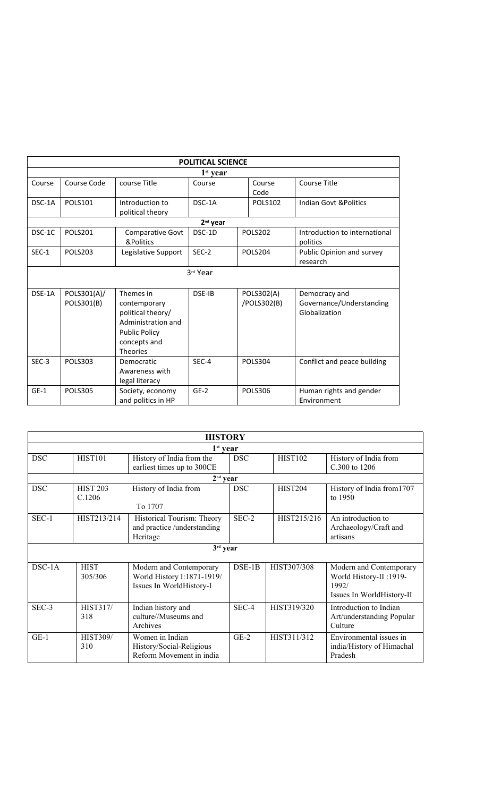|         |                |                      | <b>POLITICAL SCIENCE</b> |                |                               |
|---------|----------------|----------------------|--------------------------|----------------|-------------------------------|
|         |                |                      | $1st$ year               |                |                               |
| Course  | Course Code    | course Title         | Course                   | Course         | Course Title                  |
|         |                |                      |                          | Code           |                               |
| DSC-1A  | <b>POLS101</b> | Introduction to      | DSC-1A                   | <b>POLS102</b> | Indian Govt & Politics        |
|         |                | political theory     |                          |                |                               |
|         |                |                      | $2nd$ year               |                |                               |
| DSC-1C  | <b>POLS201</b> | Comparative Govt     | DSC-1D                   | POLS202        | Introduction to international |
|         |                | &Politics            |                          |                | politics                      |
| $SEC-1$ | <b>POLS203</b> | Legislative Support  | SEC-2                    | POLS204        | Public Opinion and survey     |
|         |                |                      |                          |                | research                      |
|         |                |                      | 3rd Year                 |                |                               |
|         |                |                      |                          |                |                               |
| DSE-1A  | POLS301(A)/    | Themes in            | DSE-IB                   | POLS302(A)     | Democracy and                 |
|         | POLS301(B)     | contemporary         |                          | /POLS302(B)    | Governance/Understanding      |
|         |                | political theory/    |                          |                | Globalization                 |
|         |                | Administration and   |                          |                |                               |
|         |                | <b>Public Policy</b> |                          |                |                               |
|         |                | concepts and         |                          |                |                               |
|         |                | <b>Theories</b>      |                          |                |                               |
| $SEC-3$ | <b>POLS303</b> | Democratic           | SEC-4                    | POLS304        | Conflict and peace building   |
|         |                | Awareness with       |                          |                |                               |
|         |                | legal literacy       |                          |                |                               |
| $GE-1$  | <b>POLS305</b> | Society, economy     | $GE-2$                   | <b>POLS306</b> | Human rights and gender       |
|         |                | and politics in HP   |                          |                | Environment                   |

|            |                           | <b>HISTORY</b>                                                                    |            |                |                                                                                         |
|------------|---------------------------|-----------------------------------------------------------------------------------|------------|----------------|-----------------------------------------------------------------------------------------|
|            |                           | $1st$ year                                                                        |            |                |                                                                                         |
| <b>DSC</b> | <b>HIST101</b>            | History of India from the<br>earliest times up to 300CE                           | <b>DSC</b> | <b>HIST102</b> | History of India from<br>C.300 to 1206                                                  |
|            |                           | $2nd$ year                                                                        |            |                |                                                                                         |
| <b>DSC</b> | <b>HIST 203</b><br>C.1206 | History of India from<br>To 1707                                                  | <b>DSC</b> | <b>HIST204</b> | History of India from 1707<br>to 1950                                                   |
| $SEC-1$    | HIST213/214               | Historical Tourism: Theory<br>and practice /understanding<br>Heritage             | SEC-2      | HIST215/216    | An introduction to<br>Archaeology/Craft and<br>artisans                                 |
|            |                           | $3rd$ year                                                                        |            |                |                                                                                         |
| $DSC-1A$   | <b>HIST</b><br>305/306    | Modern and Contemporary<br>World History I:1871-1919/<br>Issues In WorldHistory-I | DSE-1B     | HIST307/308    | Modern and Contemporary<br>World History-II:1919-<br>1992/<br>Issues In WorldHistory-II |
| SEC-3      | <b>HIST317/</b><br>318    | Indian history and<br>culture//Museums and<br>Archives                            | SEC-4      | HIST319/320    | Introduction to Indian<br>Art/understanding Popular<br>Culture                          |
| $GE-1$     | <b>HIST309/</b><br>310    | Women in Indian<br>History/Social-Religious<br>Reform Movement in india           | $GE-2$     | HIST311/312    | Environmental issues in<br>india/History of Himachal<br>Pradesh                         |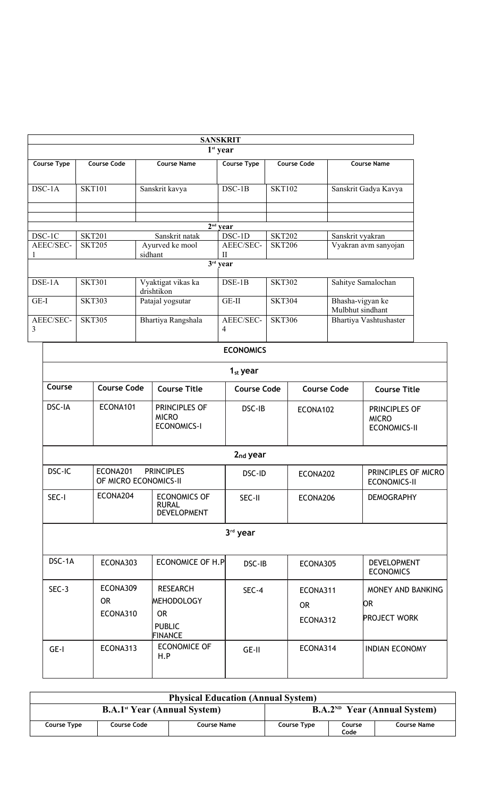|                |                    |                                  | <b>SANSKRIT</b>        |                    |                                      |
|----------------|--------------------|----------------------------------|------------------------|--------------------|--------------------------------------|
|                |                    |                                  | 1 <sup>st</sup> year   |                    |                                      |
| Course Type    | <b>Course Code</b> | <b>Course Name</b>               | Course Type            | <b>Course Code</b> | <b>Course Name</b>                   |
| DSC-1A         | <b>SKT101</b>      | Sanskrit kavya                   | $DSC-1B$               | <b>SKT102</b>      | Sanskrit Gadya Kavya                 |
|                |                    |                                  |                        |                    |                                      |
|                |                    |                                  | $2nd$ year             |                    |                                      |
| DSC-1C         | <b>SKT201</b>      | Sanskrit natak                   | DSC-1D                 | <b>SKT202</b>      | Sanskrit vyakran                     |
| AEEC/SEC-      | <b>SKT205</b>      | Ayurved ke mool<br>sidhant       | AEEC/SEC-<br>$\rm{II}$ | <b>SKT206</b>      | Vyakran avm sanyojan                 |
|                |                    |                                  | $3rd$ year             |                    |                                      |
| $DSE-1A$       | <b>SKT301</b>      | Vyaktigat vikas ka<br>drishtikon | $DSE-1B$               | <b>SKT302</b>      | Sahitye Samalochan                   |
| GE-I           | <b>SKT303</b>      | Patajal yogsutar                 | $GE-II$                | <b>SKT304</b>      | Bhasha-vigyan ke<br>Mulbhut sindhant |
| AEEC/SEC-<br>3 | <b>SKT305</b>      | Bhartiya Rangshala               | AEEC/SEC-<br>4         | <b>SKT306</b>      | Bhartiya Vashtushaster               |
|                |                    |                                  | <b>ECONOMICS</b>       |                    |                                      |

|                                                                  |                                   |                                                                                      | <b>ECONOMICS</b>     |                                   |                                                      |
|------------------------------------------------------------------|-----------------------------------|--------------------------------------------------------------------------------------|----------------------|-----------------------------------|------------------------------------------------------|
|                                                                  |                                   |                                                                                      | $1st$ year           |                                   |                                                      |
| Course                                                           | <b>Course Code</b>                | <b>Course Title</b>                                                                  | <b>Course Code</b>   | <b>Course Code</b>                | <b>Course Title</b>                                  |
| DSC-IA                                                           | ECONA101                          | PRINCIPLES OF<br><b>MICRO</b><br><b>ECONOMICS-I</b>                                  | DSC-IB               | ECONA102                          | PRINCIPLES OF<br><b>MICRO</b><br><b>ECONOMICS-II</b> |
|                                                                  |                                   |                                                                                      | 2 <sub>nd</sub> year |                                   |                                                      |
| DSC-IC<br>ECONA201<br><b>PRINCIPLES</b><br>OF MICRO ECONOMICS-II |                                   |                                                                                      | DSC-ID               | ECONA202                          | PRINCIPLES OF MICRO<br><b>ECONOMICS-II</b>           |
| SEC-I                                                            | ECONA204                          | <b>ECONOMICS OF</b><br><b>RURAL</b><br><b>DEVELOPMENT</b>                            | SEC-II               | ECONA206                          | <b>DEMOGRAPHY</b>                                    |
|                                                                  |                                   |                                                                                      | 3rd year             |                                   |                                                      |
| DSC-1A                                                           | ECONA303                          | ECONOMICE OF H.P                                                                     | DSC-IB               | ECONA305                          | <b>DEVELOPMENT</b><br><b>ECONOMICS</b>               |
| $SEC-3$                                                          | ECONA309<br><b>OR</b><br>ECONA310 | <b>RESEARCH</b><br><b>MEHODOLOGY</b><br><b>OR</b><br><b>PUBLIC</b><br><b>FINANCE</b> | SEC-4                | ECONA311<br><b>OR</b><br>ECONA312 | MONEY AND BANKING<br>OR<br><b>PROJECT WORK</b>       |
| GE-I                                                             | ECONA313                          | <b>ECONOMICE OF</b><br>H.P                                                           | GE-II                | ECONA314                          | <b>INDIAN ECONOMY</b>                                |

|             |                                                | <b>Physical Education (Annual System)</b> |                                |                |             |  |  |
|-------------|------------------------------------------------|-------------------------------------------|--------------------------------|----------------|-------------|--|--|
|             | <b>B.A.1<sup>st</sup></b> Year (Annual System) |                                           | $B.A.2ND Year (Annual System)$ |                |             |  |  |
| Course Type | <b>Course Code</b>                             | Course Name                               | Course Type                    | Course<br>Code | Course Name |  |  |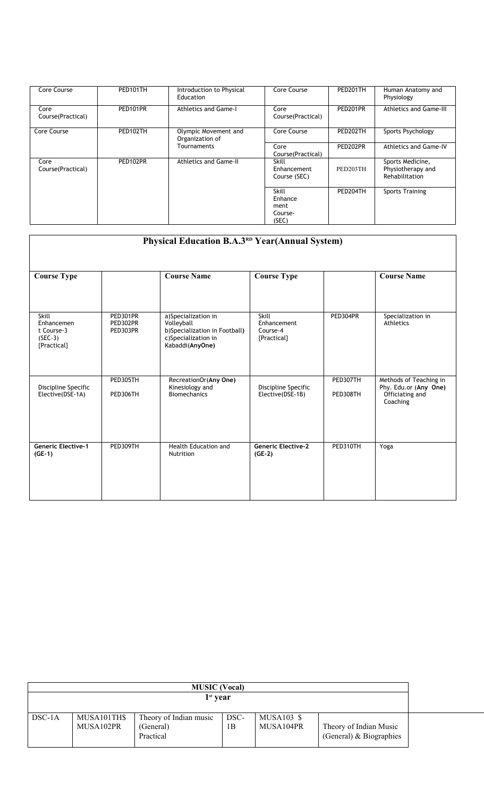| Core Course                | PED101TH | Introduction to Physical<br>Education   | Core Course                                  | PED201TH | Human Anatomy and<br>Physiology                         |
|----------------------------|----------|-----------------------------------------|----------------------------------------------|----------|---------------------------------------------------------|
| Core<br>Course (Practical) | PED101PR | <b>Athletics and Game-I</b>             | Core<br>Course (Practical)                   | PED201PR | <b>Athletics and Game-III</b>                           |
| Core Course                | PED102TH | Olympic Movement and<br>Organization of | Core Course                                  | PED202TH | Sports Psychology                                       |
|                            |          | Tournaments                             | Core<br>Course (Practical)                   | PED202PR | Athletics and Game-IV                                   |
| Core<br>Course (Practical) | PED102PR | <b>Athletics and Game-II</b>            | <b>Skill</b><br>Enhancement<br>Course (SEC)  | PED203TH | Sports Medicine,<br>Physiotherapy and<br>Rehabilitation |
|                            |          |                                         | Skill<br>Enhance<br>ment<br>Course-<br>(SEC) | PED204TH | <b>Sports Training</b>                                  |

| <b>Course Type</b>                                            |                                  | <b>Course Name</b>                                                                                           | <b>Course Type</b>                              |                      | <b>Course Name</b>                                                             |
|---------------------------------------------------------------|----------------------------------|--------------------------------------------------------------------------------------------------------------|-------------------------------------------------|----------------------|--------------------------------------------------------------------------------|
| Skill<br>Enhancemen<br>t Course-3<br>$(SEC-3)$<br>{Practical} | PED301PR<br>PED302PR<br>PED303PR | a)Specialization in<br>Volleyball<br>b)Specialization in Football)<br>c)Specialization in<br>Kabaddi(AnyOne) | Skill<br>Enhancement<br>Course-4<br>{Practical} | PED304PR             | Specialization in<br>Athletics                                                 |
| Discipline Specific<br>Elective(DSE-1A)                       | PED305TH<br>PED306TH             | RecreationOr(Any One)<br>Kinesiology and<br><b>Biomechanics</b>                                              | Discipline Specific<br>Elective(DSE-1B)         | PED307TH<br>PED308TH | Methods of Teaching in<br>Phy. Edu.or (Any One)<br>Officiating and<br>Coaching |
|                                                               |                                  |                                                                                                              |                                                 |                      |                                                                                |
| <b>Generic Elective-1</b><br>$(GE-1)$                         | PED309TH                         | <b>Health Education and</b><br>Nutrition                                                                     | <b>Generic Elective-2</b><br>$(GE-2)$           | PED310TH             | Yoga                                                                           |

|          |                          | <b>MUSIC</b> (Vocal)                             |            |                         |                                                     |  |
|----------|--------------------------|--------------------------------------------------|------------|-------------------------|-----------------------------------------------------|--|
|          |                          | $1st$ year                                       |            |                         |                                                     |  |
| $DSC-1A$ | MUSA101TH\$<br>MUSA102PR | Theory of Indian music<br>(General)<br>Practical | DSC-<br>1B | MUSA103 \$<br>MUSA104PR | Theory of Indian Music<br>(General) $& Biographies$ |  |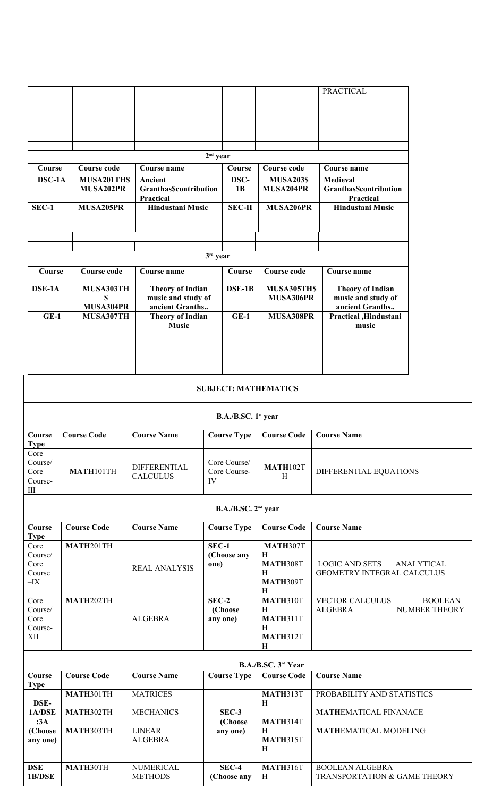|                                                                 |                              |                                                            |                                    |                                                               | <b>PRACTICAL</b>                                       |                                        |
|-----------------------------------------------------------------|------------------------------|------------------------------------------------------------|------------------------------------|---------------------------------------------------------------|--------------------------------------------------------|----------------------------------------|
|                                                                 |                              |                                                            |                                    |                                                               |                                                        |                                        |
|                                                                 |                              |                                                            |                                    |                                                               |                                                        |                                        |
|                                                                 |                              |                                                            |                                    |                                                               |                                                        |                                        |
|                                                                 |                              |                                                            | $2nd$ year                         |                                                               |                                                        |                                        |
| Course                                                          | <b>Course code</b>           | Course name                                                | Course                             | Course code                                                   | Course name                                            |                                        |
| DSC-1A                                                          | MUSA201TH\$<br>MUSA202PR     | Ancient<br><b>GranthasScontribution</b><br>Practical       | DSC-<br>1B                         | <b>MUSA203\$</b><br>MUSA204PR                                 | Medieval<br><b>GranthasScontribution</b><br>Practical  |                                        |
| SEC-1                                                           | MUSA205PR                    | Hindustani Music                                           | $SEC-II$                           | MUSA206PR                                                     | Hindustani Music                                       |                                        |
|                                                                 |                              |                                                            |                                    |                                                               |                                                        |                                        |
|                                                                 |                              |                                                            | 3rd year                           |                                                               |                                                        |                                        |
| Course                                                          | <b>Course code</b>           | Course name                                                | Course                             | Course code                                                   | Course name                                            |                                        |
| DSE-1A                                                          | MUSA303TH<br>\$<br>MUSA304PR | <b>Theory of Indian</b><br>music and study of              | $\overline{\text{DSE-1B}}$         | MUSA305TH\$<br>MUSA306PR                                      | <b>Theory of Indian</b><br>music and study of          |                                        |
| $GE-1$                                                          | MUSA307TH                    | ancient Granths<br><b>Theory of Indian</b><br><b>Music</b> | $GE-1$                             | MUSA308PR                                                     | ancient Granths<br>Practical, Hindustani<br>music      |                                        |
|                                                                 |                              |                                                            |                                    |                                                               |                                                        |                                        |
|                                                                 |                              |                                                            | <b>SUBJECT: MATHEMATICS</b>        |                                                               |                                                        |                                        |
|                                                                 |                              |                                                            | B.A./B.SC. 1 <sup>st</sup> year    |                                                               |                                                        |                                        |
| Course<br><b>Type</b>                                           | <b>Course Code</b>           | <b>Course Name</b>                                         | <b>Course Type</b>                 | <b>Course Code</b>                                            | <b>Course Name</b>                                     |                                        |
| Core<br>Course/<br>Core<br>Course-<br>$\rm III$                 | MATH101TH                    | <b>DIFFERENTIAL</b><br><b>CALCULUS</b>                     | Core Course/<br>Core Course-<br>IV | <b>MATH102T</b><br>H                                          | DIFFERENTIAL EQUATIONS                                 |                                        |
|                                                                 |                              |                                                            | B.A./B.SC. 2 <sup>nd</sup> year    |                                                               |                                                        |                                        |
| Course                                                          | <b>Course Code</b>           | <b>Course Name</b>                                         | <b>Course Type</b>                 | <b>Course Code</b>                                            | <b>Course Name</b>                                     |                                        |
| <b>Type</b><br>Core<br>Course/<br>Core<br>Course<br>$-{\rm IX}$ | MATH201TH                    | <b>REAL ANALYSIS</b>                                       | $SEC-1$<br>(Choose any<br>one)     | MATH307T<br>H<br><b>MATH308T</b><br>H<br><b>MATH309T</b>      | <b>LOGIC AND SETS</b><br>GEOMETRY INTEGRAL CALCULUS    | ANALYTICAL                             |
| Core<br>Course/<br>Core<br>Course-<br>XII                       | MATH202TH                    | <b>ALGEBRA</b>                                             | $SEC-2$<br>(Choose<br>any one)     | H<br><b>MATH310T</b><br>H<br>MATH311T<br>H<br><b>MATH312T</b> | <b>VECTOR CALCULUS</b><br><b>ALGEBRA</b>               | <b>BOOLEAN</b><br><b>NUMBER THEORY</b> |
|                                                                 |                              |                                                            |                                    | H<br>B.A./B.SC. 3rd Year                                      |                                                        |                                        |
| Course                                                          | <b>Course Code</b>           | <b>Course Name</b>                                         | Course Type                        | <b>Course Code</b>                                            | <b>Course Name</b>                                     |                                        |
| <b>Type</b>                                                     | MATH301TH                    | <b>MATRICES</b>                                            |                                    | MATH313T                                                      | PROBABILITY AND STATISTICS                             |                                        |
| DSE-<br>1A/DSE<br>:3A                                           | MATH302TH                    | <b>MECHANICS</b>                                           | SEC-3<br>(Choose                   | H<br>MATH314T                                                 | <b>MATHEMATICAL FINANACE</b>                           |                                        |
| (Choose<br>any one)                                             | MATH303TH                    | <b>LINEAR</b><br><b>ALGEBRA</b>                            | any one)                           | H<br><b>MATH315T</b><br>H                                     | <b>MATHEMATICAL MODELING</b>                           |                                        |
| <b>DSE</b><br>1B/DSE                                            | MATH30TH                     | NUMERICAL<br><b>METHODS</b>                                | $SEC-4$<br>(Choose any             | <b>MATH316T</b><br>H                                          | <b>BOOLEAN ALGEBRA</b><br>TRANSPORTATION & GAME THEORY |                                        |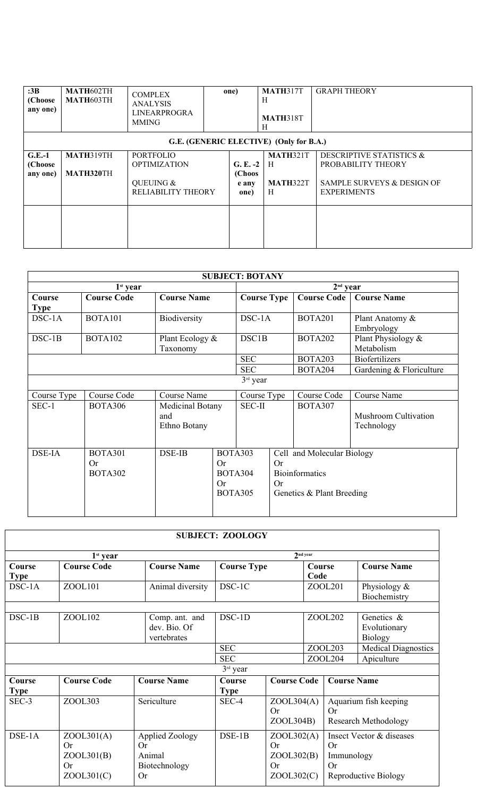| :3B<br>(Choose<br>any one)      | MATH602TH<br><b>MATH603TH</b> | <b>COMPLEX</b><br><b>ANALYSIS</b><br><b>LINEARPROGRA</b><br><b>MMING</b>   | one)                                  | <b>MATH317T</b><br>Н<br><b>MATH318T</b><br>Н | <b>GRAPH THEORY</b>                                                                                           |
|---------------------------------|-------------------------------|----------------------------------------------------------------------------|---------------------------------------|----------------------------------------------|---------------------------------------------------------------------------------------------------------------|
|                                 |                               |                                                                            |                                       | G.E. (GENERIC ELECTIVE) (Only for B.A.)      |                                                                                                               |
| $G.E.-1$<br>(Choose<br>any one) | MATH319TH<br><b>MATH320TH</b> | <b>PORTFOLIO</b><br><b>OPTIMIZATION</b><br>QUEUING &<br>RELIABILITY THEORY | $G. E. -2$<br>(Choos<br>e any<br>one) | <b>MATH321T</b><br>H<br><b>MATH322T</b><br>H | <b>DESCRIPTIVE STATISTICS &amp;</b><br>PROBABILITY THEORY<br>SAMPLE SURVEYS & DESIGN OF<br><b>EXPERIMENTS</b> |
|                                 |                               |                                                                            |                                       |                                              |                                                                                                               |

|               |                                               |                                         |          | <b>SUBJECT: BOTANY</b>                      |                 |                                                                                  |                                           |  |
|---------------|-----------------------------------------------|-----------------------------------------|----------|---------------------------------------------|-----------------|----------------------------------------------------------------------------------|-------------------------------------------|--|
|               | $1st$ year                                    |                                         |          |                                             |                 | $2nd$ year                                                                       |                                           |  |
| Course        | <b>Course Code</b>                            | <b>Course Name</b>                      |          | <b>Course Type</b>                          |                 | <b>Course Code</b>                                                               | <b>Course Name</b>                        |  |
| <b>Type</b>   |                                               |                                         |          |                                             |                 |                                                                                  |                                           |  |
| DSC-1A        | <b>BOTA101</b>                                | Biodiversity                            |          | DSC-1A                                      |                 | <b>BOTA201</b>                                                                   | Plant Anatomy &<br>Embryology             |  |
| $DSC-1B$      | <b>BOTA102</b>                                | Plant Ecology &<br>Taxonomy             |          | DSC1B                                       |                 | <b>BOTA202</b>                                                                   | Plant Physiology &<br>Metabolism          |  |
|               |                                               |                                         |          | <b>SEC</b>                                  |                 | <b>BOTA203</b>                                                                   | <b>Biofertilizers</b>                     |  |
|               |                                               |                                         |          | <b>SEC</b>                                  |                 | BOTA204                                                                          | Gardening & Floriculture                  |  |
|               |                                               |                                         |          | $3rd$ year                                  |                 |                                                                                  |                                           |  |
| Course Type   | Course Code                                   | <b>Course Name</b>                      |          | Course Type                                 |                 | Course Code                                                                      | <b>Course Name</b>                        |  |
| SEC-1         | <b>BOTA306</b>                                | Medicinal Botany<br>and<br>Ethno Botany |          | <b>SEC-II</b>                               |                 | BOTA307                                                                          | <b>Mushroom Cultivation</b><br>Technology |  |
| <b>DSE-IA</b> | <b>BOTA301</b><br><b>Or</b><br><b>BOTA302</b> | DSE-IB                                  | Or<br>Or | <b>BOTA303</b><br>BOTA304<br><b>BOTA305</b> | <b>Or</b><br>Or | Cell and Molecular Biology<br><b>Bioinformatics</b><br>Genetics & Plant Breeding |                                           |  |

|                       |                                                    |                                                                      | <b>SUBJECT: ZOOLOGY</b> |                                                           |                |                                          |                                                      |
|-----------------------|----------------------------------------------------|----------------------------------------------------------------------|-------------------------|-----------------------------------------------------------|----------------|------------------------------------------|------------------------------------------------------|
|                       | $1st$ year                                         |                                                                      |                         |                                                           | Ind year       |                                          |                                                      |
| Course<br><b>Type</b> | <b>Course Code</b>                                 | <b>Course Name</b>                                                   | <b>Course Type</b>      |                                                           | Course<br>Code |                                          | <b>Course Name</b>                                   |
| $DSC-1A$              | ZOOL101                                            | Animal diversity                                                     | DSC-1C                  |                                                           | ZOOL201        |                                          | Physiology $\&$<br>Biochemistry                      |
| $DSC-1B$              | ZOOL102                                            | Comp. ant. and<br>dev. Bio. Of<br>vertebrates                        | DSC-1D                  |                                                           | ZOOL202        |                                          | Genetics &<br>Evolutionary<br><b>Biology</b>         |
|                       |                                                    | <b>SEC</b><br><b>SEC</b>                                             |                         | ZOOL203<br>ZOOL204                                        |                | <b>Medical Diagnostics</b><br>Apiculture |                                                      |
|                       |                                                    |                                                                      | $3rd$ year              |                                                           |                |                                          |                                                      |
| Course<br><b>Type</b> | <b>Course Code</b>                                 | <b>Course Name</b>                                                   | Course<br><b>Type</b>   | <b>Course Code</b>                                        |                | <b>Course Name</b>                       |                                                      |
| SEC-3                 | ZOOL303                                            | Sericulture                                                          | SEC-4                   | ZOOL304(A)<br><b>Or</b><br>ZOOL304B)                      |                | Or                                       | Aquarium fish keeping<br><b>Research Methodology</b> |
| $DSE-1A$              | ZOOL301(A)<br>Or<br>ZOOL301(B)<br>Or<br>ZOOL301(C) | <b>Applied Zoology</b><br>Or<br>Animal<br>Biotechnology<br><b>Or</b> | $DSE-1B$                | ZOOL302(A)<br>Or<br>ZOOL302(B)<br><b>Or</b><br>ZOOL302(C) |                | Or<br>Immunology<br><b>Or</b>            | Insect Vector & diseases<br>Reproductive Biology     |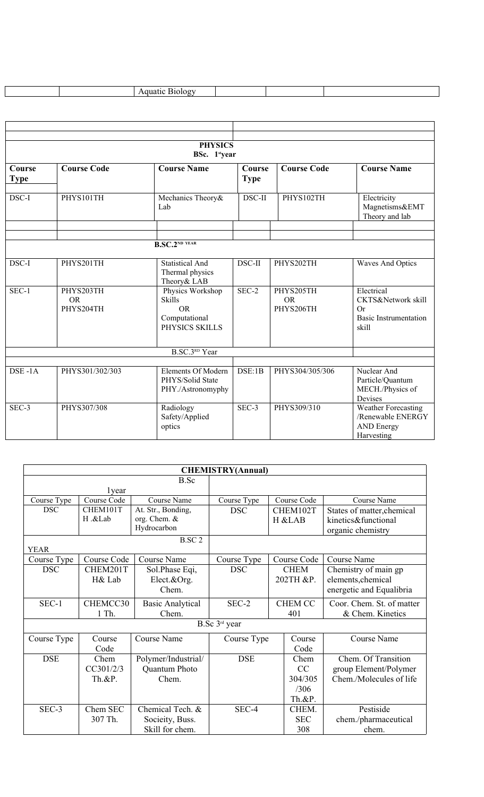|                              |                                     | <b>PHYSICS</b><br>BSc. 1styear                                                    |                       |                                     |                                                                                        |
|------------------------------|-------------------------------------|-----------------------------------------------------------------------------------|-----------------------|-------------------------------------|----------------------------------------------------------------------------------------|
| <b>Course</b><br><b>Type</b> | <b>Course Code</b>                  | <b>Course Name</b>                                                                | Course<br><b>Type</b> | <b>Course Code</b>                  | <b>Course Name</b>                                                                     |
| DSC-I                        | PHYS101TH                           | Mechanics Theory&<br>Lab                                                          | DSC-II                | PHYS102TH                           | Electricity<br>Magnetisms&EMT<br>Theory and lab                                        |
|                              |                                     |                                                                                   |                       |                                     |                                                                                        |
|                              |                                     | <b>B.SC.2ND YEAR</b>                                                              |                       |                                     |                                                                                        |
| DSC-I                        | PHYS201TH                           | <b>Statistical And</b><br>Thermal physics<br>Theory & LAB                         | DSC-II                | PHYS202TH                           | <b>Waves And Optics</b>                                                                |
| SEC-1                        | PHYS203TH<br><b>OR</b><br>PHYS204TH | Physics Workshop<br><b>Skills</b><br><b>OR</b><br>Computational<br>PHYSICS SKILLS | $SEC-2$               | PHYS205TH<br><b>OR</b><br>PHYS206TH | Electrical<br>CKTS&Network skill<br><b>Or</b><br><b>Basic Instrumentation</b><br>skill |
|                              |                                     | <b>B.SC.3RD</b> Year                                                              |                       |                                     |                                                                                        |
| DSE-1A                       | PHYS301/302/303                     | Elements Of Modern<br>PHYS/Solid State<br>PHY./Astronomyphy                       | DSE:1B                | PHYS304/305/306                     | Nuclear And<br>Particle/Quantum<br>MECH./Physics of<br>Devises                         |
| SEC-3                        | PHYS307/308                         | Radiology<br>Safety/Applied<br>optics                                             | SEC-3                 | PHYS309/310                         | <b>Weather Forecasting</b><br>/Renewable ENERGY<br><b>AND Energy</b><br>Harvesting     |

|             |             |                         | <b>CHEMISTRY(Annual)</b>  |           |                |                            |
|-------------|-------------|-------------------------|---------------------------|-----------|----------------|----------------------------|
|             |             | B.Sc                    |                           |           |                |                            |
|             | 1year       |                         |                           |           |                |                            |
| Course Type | Course Code | Course Name             | Course Type               |           | Course Code    | Course Name                |
| <b>DSC</b>  | CHEM101T    | At. Str., Bonding,      | <b>DSC</b>                |           | CHEM102T       | States of matter, chemical |
|             | H .&Lab     | org. Chem. &            |                           |           | H &LAB         | kinetics&functional        |
|             |             | Hydrocarbon             |                           |           |                | organic chemistry          |
|             |             | B.SC <sub>2</sub>       |                           |           |                |                            |
| <b>YEAR</b> |             |                         |                           |           |                |                            |
| Course Type | Course Code | <b>Course Name</b>      | Course Type               |           | Course Code    | Course Name                |
| <b>DSC</b>  | CHEM201T    | Sol.Phase Eqi,          | <b>DSC</b>                |           | <b>CHEM</b>    | Chemistry of main gp       |
|             | H& Lab      | Elect.&Org.             |                           | 202TH &P. |                | elements, chemical         |
|             |             | Chem.                   |                           |           |                | energetic and Equalibria   |
| SEC-1       | CHEMCC30    | <b>Basic Analytical</b> | SEC-2                     |           | <b>CHEM CC</b> | Coor. Chem. St. of matter  |
|             | 1 Th.       | Chem.                   |                           |           | 401            | & Chem. Kinetics           |
|             |             |                         | B.Sc 3 <sup>rd</sup> year |           |                |                            |
| Course Type | Course      | Course Name             | Course Type               |           | Course         | Course Name                |
|             | Code        |                         |                           |           | Code           |                            |
| <b>DSE</b>  | Chem        | Polymer/Industrial/     | <b>DSE</b>                |           | Chem           | Chem. Of Transition        |
|             | CC301/2/3   | Quantum Photo           |                           |           | CC             | group Element/Polymer      |
|             | $Th.$ &P.   | Chem.                   |                           |           | 304/305        | Chem./Molecules of life    |
|             |             |                         |                           |           | /306           |                            |
|             |             |                         |                           |           | Th.&P.         |                            |
| SEC-3       | Chem SEC    | Chemical Tech. &        | SEC-4                     |           | CHEM.          | Pestiside                  |
|             | 307 Th.     | Socieity, Buss.         |                           |           | <b>SEC</b>     | chem./pharmaceutical       |
|             |             | Skill for chem.         |                           |           | 308            | chem.                      |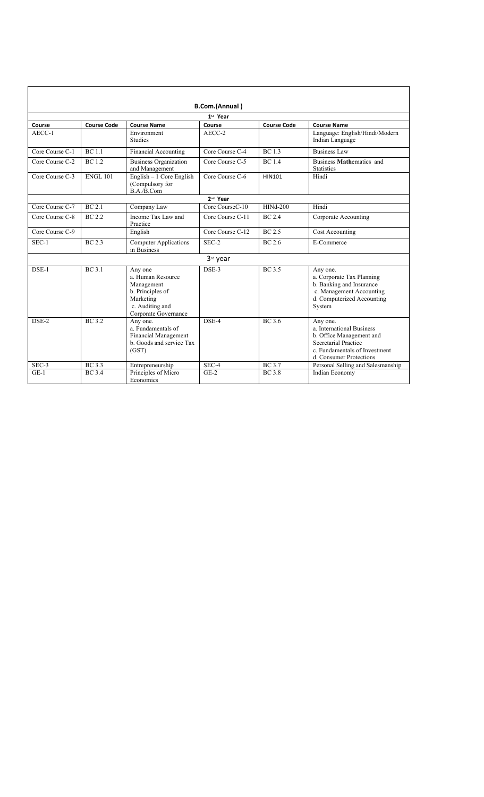|                      |                    |                                                                                                                        | B.Com.(Annual)       |                    |                                                                                                                                                       |  |  |  |
|----------------------|--------------------|------------------------------------------------------------------------------------------------------------------------|----------------------|--------------------|-------------------------------------------------------------------------------------------------------------------------------------------------------|--|--|--|
| 1st Year             |                    |                                                                                                                        |                      |                    |                                                                                                                                                       |  |  |  |
| Course               | <b>Course Code</b> | <b>Course Name</b>                                                                                                     | Course               | <b>Course Code</b> | <b>Course Name</b>                                                                                                                                    |  |  |  |
| AECC-1               |                    | Environment<br><b>Studies</b>                                                                                          | AECC-2               |                    | Language: English/Hindi/Modern<br>Indian Language                                                                                                     |  |  |  |
| Core Course C-1      | <b>BC</b> 1.1      | Financial Accounting                                                                                                   | Core Course C-4      | <b>BC</b> 1.3      | <b>Business Law</b>                                                                                                                                   |  |  |  |
| Core Course C-2      | <b>BC</b> 1.2      | <b>Business Organization</b><br>and Management                                                                         | Core Course C-5      | <b>BC</b> 1.4      | Business Mathematics and<br><b>Statistics</b>                                                                                                         |  |  |  |
| Core Course C-3      | <b>ENGL 101</b>    | English $-1$ Core English<br>(Compulsory for<br>B.A./B.Com                                                             | Core Course C-6      | HIN101             | Hindi                                                                                                                                                 |  |  |  |
| 2 <sup>nd</sup> Year |                    |                                                                                                                        |                      |                    |                                                                                                                                                       |  |  |  |
| Core Course C-7      | BC 2.1             | Company Law                                                                                                            | Core CourseC-10      | $HINA-200$         | Hindi                                                                                                                                                 |  |  |  |
| Core Course C-8      | <b>BC</b> 2.2      | Income Tax Law and<br>Practice                                                                                         | Core Course C-11     | <b>BC</b> 2.4      | Corporate Accounting                                                                                                                                  |  |  |  |
| Core Course C-9      |                    | English                                                                                                                | Core Course C-12     | <b>BC</b> 2.5      | Cost Accounting                                                                                                                                       |  |  |  |
| $SEC-1$              | <b>BC</b> 2.3      | <b>Computer Applications</b><br>in Business                                                                            | SEC-2                | <b>BC</b> 2.6      | E-Commerce                                                                                                                                            |  |  |  |
|                      |                    |                                                                                                                        | 3 <sup>rd</sup> year |                    |                                                                                                                                                       |  |  |  |
| $DSE-1$              | <b>BC</b> 3.1      | Any one<br>a. Human Resource<br>Management<br>b. Principles of<br>Marketing<br>c. Auditing and<br>Corporate Governance | DSE-3                | <b>BC</b> 3.5      | Any one.<br>a. Corporate Tax Planning<br>b. Banking and Insurance<br>c. Management Accounting<br>d. Computerized Accounting<br>System                 |  |  |  |
| $DSE-2$              | <b>BC</b> 3.2      | Any one.<br>a. Fundamentals of<br><b>Financial Management</b><br>b. Goods and service Tax<br>(GST)                     | DSE-4                | <b>BC</b> 3.6      | Any one.<br>a. International Business<br>b. Office Management and<br>Secretarial Practice<br>c. Fundamentals of Investment<br>d. Consumer Protections |  |  |  |
| $SEC-3$              | <b>BC</b> 3.3      | Entrepreneurship                                                                                                       | SEC-4                | <b>BC</b> 3.7      | Personal Selling and Salesmanship                                                                                                                     |  |  |  |
| $GE-1$               | <b>BC</b> 3.4      | Principles of Micro<br>Economics                                                                                       | $GE-2$               | <b>BC</b> 3.8      | Indian Economy                                                                                                                                        |  |  |  |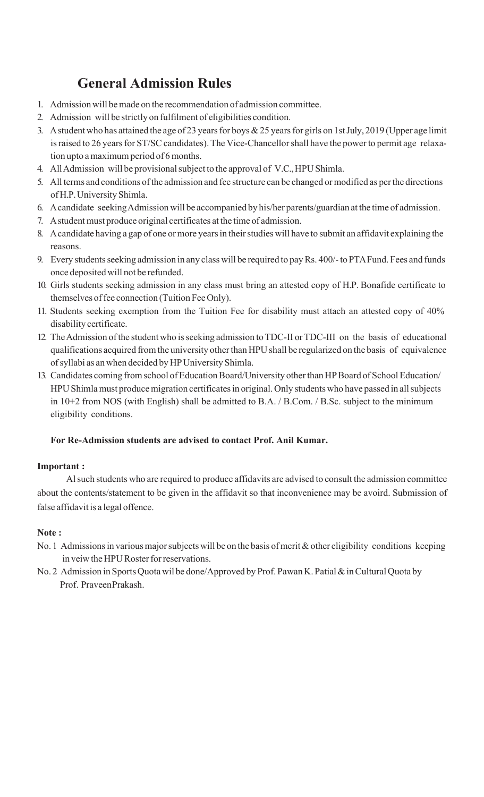## **General Admission Rules**

- 1. Admission will bemade on the recommendation of admission committee.
- 2. Admission will be strictly on fulfilment of eligibilities condition.
- 3. A student who has attained the age of 23 years for boys  $& 25$  years for girls on 1st July, 2019 (Upper age limit is raised to 26 years for ST/SC candidates). The Vice-Chancellor shall have the power to permit age relaxation upto a maximum period of 6 months.
- 4. All Admission will be provisional subject to the approval of V.C., HPU Shimla.
- 5. All terms and conditions ofthe admission and fee structure can bechanged ormodified as perthe directions of H.P.University Shimla.
- 6. Acandidate seekingAdmission will be accompanied by his/her parents/guardian at the time of admission.
- 7. A student must produce original certificates at the time of admission.
- 8. A candidate having a gap of one or more years in their studies will have to submit an affidavit explaining the reasons.
- 9. Every students seeking admission in any class will be required to pay Rs. 400/- to PTA Fund. Fees and funds once deposited will not be refunded.
- 10. Girls students seeking admission in any class must bring an attested copy of H.P. Bonafide certificate to themselves offee connection (Tuition Fee Only).
- 11. Students seeking exemption from the Tuition Fee for disability must attach an attested copy of 40% disability certificate.
- 12. The Admission of the student who is seeking admission to TDC-II or TDC-III on the basis of educational qualifications acquired from the university other than HPU shall be regularized on the basis of equivalence ofsyllabi as an when decided by HPUniversity Shimla.
- 13. Candidates coming from school of Education Board/University other than HP Board of School Education/ HPU Shimla must produce migration certificates in original. Only students who have passed in all subjects in 10+2 from NOS (with English) shall be admitted to B.A. / B.Com. / B.Sc. subject to the minimum eligibility conditions.

### **For Re-Admission students are advised to contact Prof. Anil Kumar.**

### **Important :**

Alsuch students who are required to produce affidavits are advised to consult the admission committee about the contents/statement to be given in the affidavit so that inconvenience may be avoird. Submission of false affidavit is a legal offence.

### **Note :**

- No. 1 Admissions in various major subjects will be on the basis of merit & other eligibility conditions keeping in veiw the HPU Roster for reservations.
- No. 2 Admission in Sports Quota wil be done/Approved by Prof. Pawan K. Patial & in Cultural Quota by Prof. PraveenPrakash.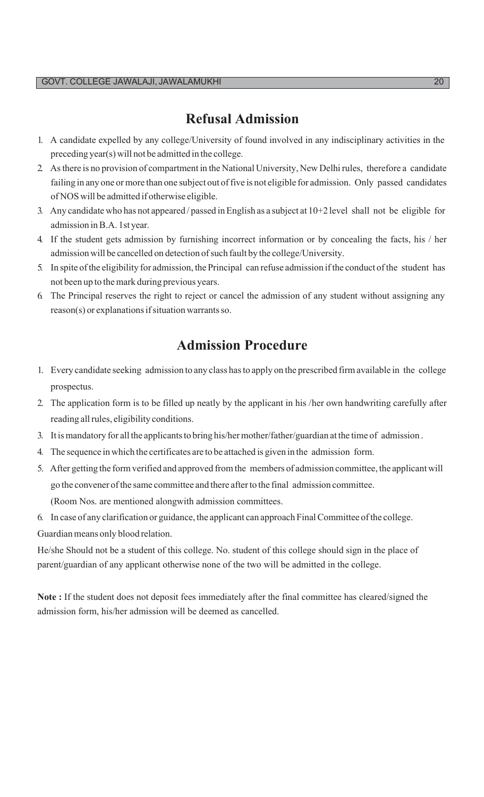### **Refusal Admission**

- 1. A candidate expelled by any college/University of found involved in any indisciplinary activities in the preceding year(s) will not be admitted in the college.
- 2. Asthere is no provision of compartment in the National University, New Delhirules, therefore a candidate failing in any one or more than one subject out of five is not eligible for admission. Only passed candidates of NOS will be admitted if otherwise eligible.
- 3. Any candidate who has not appeared / passed inEnglish as a subject at 10+2 level shall not be eligible for admission inB.A. 1styear.
- 4. If the student gets admission by furnishing incorrect information or by concealing the facts, his / her admission will be cancelled on detection of such fault by the college/University.
- 5. In spite ofthe eligibility for admission, the Principal can refuse admission ifthe conduct ofthe student has not been up to themark during previous years.
- 6. The Principal reserves the right to reject or cancel the admission of any student without assigning any  $reason(s)$  or explanations if situation warrants so.

## **Admission Procedure**

- 1. Every candidate seeking admission to any classhasto apply on the prescribed firmavailable in the college prospectus.
- 2. The application form is to be filled up neatly by the applicant in his /her own handwriting carefully after reading allrules, eligibility conditions.
- 3. It is mandatory for all the applicants to bring his/hermother/father/guardian at the time of admission.
- 4. The sequence in which the certificates are to beattached is given in the admission form.
- 5. After getting the formverified and approved fromthe members of admission committee, the applicant will go the convener of the same committee and there after to the final admission committee. (Room Nos. are mentioned alongwith admission committees.
- 6. In case of any clarification or guidance, the applicant can approach FinalCommittee ofthe college.

Guardian means only blood relation.

He/she Should not be a student of this college. No. student of this college should sign in the place of parent/guardian of any applicant otherwise none of the two will be admitted in the college.

**Note :** If the student does not deposit fees immediately after the final committee has cleared/signed the admission form, his/her admission will be deemed as cancelled.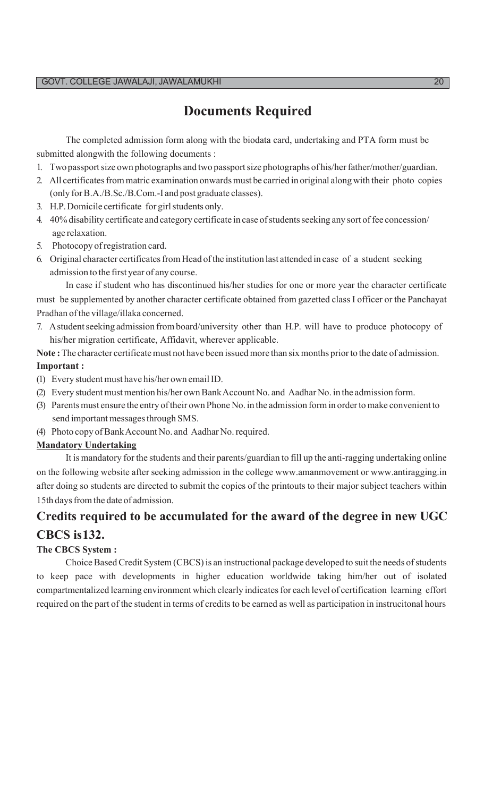## **Documents Required**

The completed admission form along with the biodata card, undertaking and PTA form must be submitted alongwith the following documents :

- 1. Twopassportsize own photographs and two passportsize photographs of his/herfather/mother/guardian.
- 2. All certificates from matric examination onwards must be carried in original along with their photo copies (only forB.A./B.Sc./B.Com.-I and post graduate classes).
- 3. H.P.Domicile certificate for girlstudents only.
- 4. 40% disability certificate and category certificate in case of students seeking any sort of fee concession/ age relaxation.
- 5. Photocopy ofregistration card.
- 6. Original character certificates from Head of the institution last attended in case of a student seeking admission to the first year of any course.

In case if student who has discontinued his/her studies for one or more year the character certificate must be supplemented by another character certificate obtained from gazetted class I officer or the Panchayat Pradhan of the village/illaka concerned.

7. A student seeking admission from board/university other than H.P. will have to produce photocopy of his/her migration certificate, Affidavit, wherever applicable.

**Note :** The character certificate must not have been issued more than six months prior to the date of admission. **Important :**

- (1) Every student must have his/her own email ID.
- (2) Every student must mention his/her own Bank Account No. and Aadhar No. in the admission form.
- (3) Parents must ensure the entry of their own Phone No. in the admission form in order to make convenient to send important messages through SMS.
- (4) Photo copy ofBankAccount No. and Aadhar No.required.

### **Mandatory Undertaking**

It is mandatory for the students and their parents/guardian to fill up the anti-ragging undertaking online on the following website after seeking admission in the college www.amanmovement or www.antiragging.in [after](http://www.antiragging.in/) doing so students are directed to submit the copies of the printouts to their major subject teachers within 15th daysfromthe date of admission.

## **Credits required to be accumulated for the award of the degree in new UGC**

### **CBCS is132.**

### **The CBCS System :**

Choice Based Credit System (CBCS) is an instructional package developed to suit the needs of students to keep pace with developments in higher education worldwide taking him/her out of isolated compartmentalized learning environment which clearly indicates for each level of certification learning effort required on the part of the student in terms of credits to be earned as well as participation in instrucitonal hours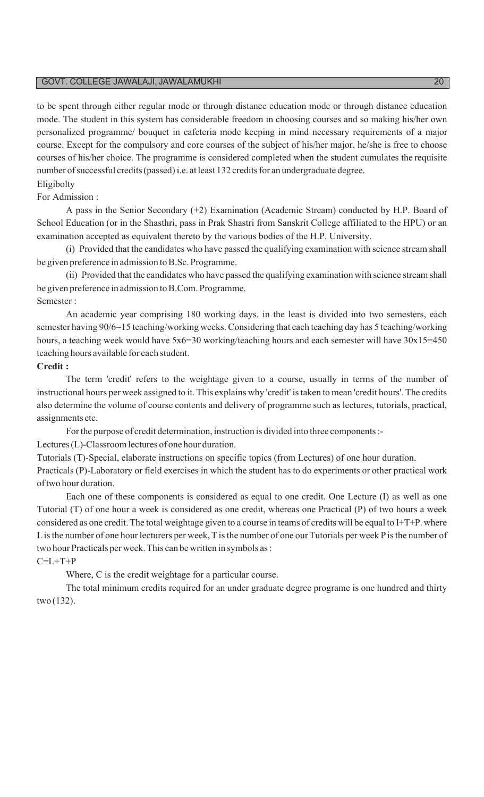to be spent through either regular mode or through distance education mode or through distance education mode. The student in this system has considerable freedom in choosing courses and so making his/her own personalized programme/ bouquet in cafeteria mode keeping in mind necessary requirements of a major course. Except for the compulsory and core courses of the subject of his/her major, he/she is free to choose courses of his/her choice. The programme is considered completed when the student cumulates the requisite number of successful credits (passed) i.e. at least 132 credits for an undergraduate degree.

### Eligibolty

### For Admission :

A pass in the Senior Secondary (+2) Examination (Academic Stream) conducted by H.P. Board of School Education (or in the Shasthri, pass in Prak Shastri from Sanskrit College affiliated to the HPU) or an examination accepted as equivalent thereto by the various bodies of the H.P. University.

(i) Provided that the candidates who have passed the qualifying examination with science stream shall be given preference in admission to B.Sc. Programme.

(ii) Provided that the candidates who have passed the qualifying examination with science stream shall be given preference in admission to B.Com. Programme. Semester :

An academic year comprising 180 working days. in the least is divided into two semesters, each semester having 90/6=15 teaching/working weeks. Considering that each teaching day has 5 teaching/working hours, a teaching week would have 5x6=30 working/teaching hours and each semester will have  $30x15=450$ teaching hours available for each student.

#### **Credit :**

The term 'credit' refers to the weightage given to a course, usually in terms of the number of instructional hours per week assigned to it. This explains why 'credit' istaken to mean 'credit hours'. The credits also determine the volume of course contents and delivery of programme such as lectures, tutorials, practical, assignments etc.

Forthe purpose of credit determination, instruction is divided into three components:-

Lectures (L)-Classroom lectures of one hour duration.

Tutorials (T)-Special, elaborate instructions on specific topics (from Lectures) of one hour duration.

Practicals (P)-Laboratory or field exercises in which the student has to do experiments or other practical work oftwo hour duration.

Each one of these components is considered as equal to one credit. One Lecture (I) as well as one Tutorial (T) of one hour a week is considered as one credit, whereas one Practical (P) of two hours a week considered as one credit. The total weightage given to a course in teams of credits will be equal to I+T+P. where L is the number of one hour lecturers per week, T is the number of one our Tutorials per week P is the number of two hour Practicals per week. This can be written in symbols as:

### $C=L+T+P$

Where, C is the credit weightage for a particular course.

The total minimum credits required for an under graduate degree programe is one hundred and thirty two (132).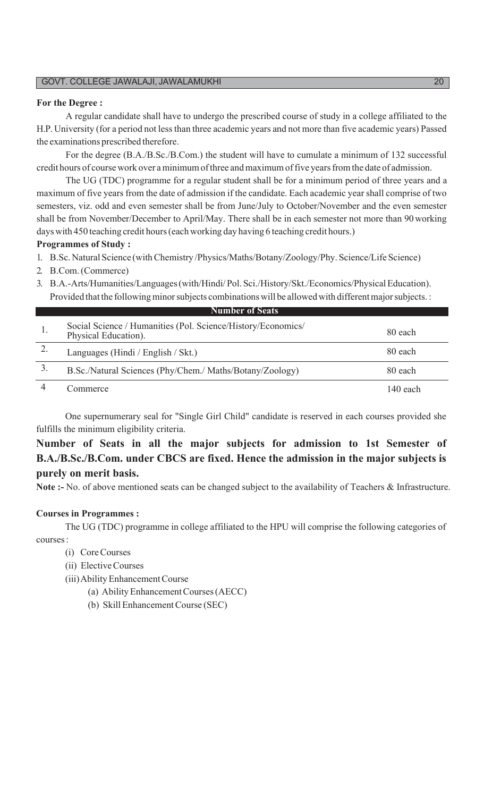#### **For the Degree :**

A regular candidate shall have to undergo the prescribed course of study in a college affiliated to the H.P. University (for a period not less than three academic years and not more than five academic years) Passed the examinations prescribed therefore.

For the degree (B.A./B.Sc./B.Com.) the student will have to cumulate a minimum of 132 successful credit hours of course work over a minimum of three and maximum of five years from the date of admission.

The UG (TDC) programme for a regular student shall be for a minimum period of three years and a maximum of five years from the date of admission if the candidate. Each academic year shall comprise of two semesters, viz. odd and even semester shall be from June/July to October/November and the even semester shall be from November/December to April/May. There shall be in each semester not more than 90working days with 450 teaching credit hours(each working day having 6 teaching credit hours.)

#### **Programmes of Study :**

1. B.Sc. Natural Science (withChemistry /Physics/Maths/Botany/Zoology/Phy. Science/Life Science)

#### 2. B.Com.(Commerce)

3. B.A.-Arts/Humanities/Languages(with/Hindi/Pol.Sci./History/Skt./Economics/PhysicalEducation). Provided that the following minor subjects combinations will be allowed with different major subjects. :

| Social Science / Humanities (Pol. Science/History/Economics/<br>Physical Education). | 80 each  |
|--------------------------------------------------------------------------------------|----------|
| Languages (Hindi / English / Skt.)                                                   | 80 each  |
| B.Sc./Natural Sciences (Phy/Chem./ Maths/Botany/Zoology)                             | 80 each  |
| commerce                                                                             | 140 each |

**Number of Seats**

One supernumerary seal for "Single Girl Child" candidate is reserved in each courses provided she fulfills the minimum eligibility criteria.

### **Number of Seats in all the major subjects for admission to 1st Semester of B.A./B.Sc./B.Com. under CBCS are fixed. Hence the admission in the major subjects is purely on merit basis.**

**Note :-** No. of above mentioned seats can be changed subject to the availability of Teachers & Infrastructure.

### **Courses in Programmes :**

The UG (TDC) programme in college affiliated to the HPU will comprise the following categories of courses:

- (i) CoreCourses
- (ii) ElectiveCourses
- (iii)AbilityEnhancementCourse
	- (a) AbilityEnhancementCourses(AECC)
	- (b) Skill Enhancement Course (SEC)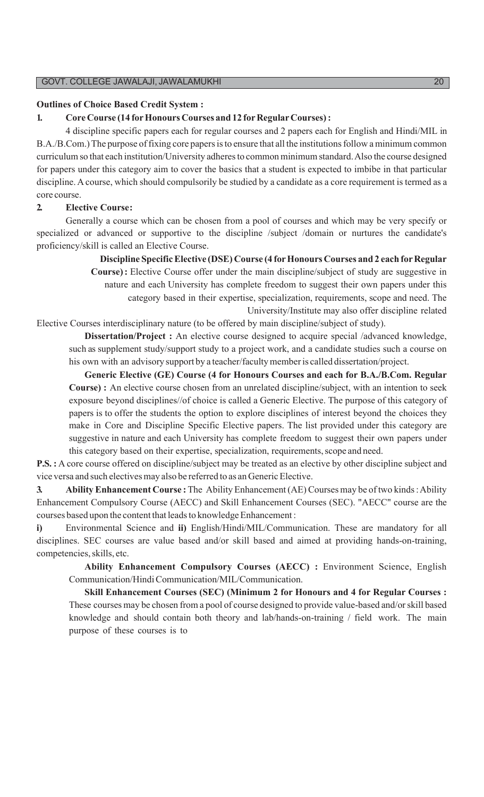#### **Outlines of Choice Based Credit System :**

### **1. CoreCourse (14 forHonours Courses and 12 forRegularCourses):**

4 discipline specific papers each for regular courses and 2 papers each for English and Hindi/MIL in B.A./B.Com.) The purpose of fixing core papers is to ensure that all the institutions follow a minimum common curriculum so that each institution/University adheres to common minimum standard. Also the course designed for papers under this category aim to cover the basics that a student is expected to imbibe in that particular discipline. A course, which should compulsorily be studied by a candidate as a core requirement is termed as a core course.

#### **2. Elective Course:**

Generally a course which can be chosen from a pool of courses and which may be very specify or specialized or advanced or supportive to the discipline /subject /domain or nurtures the candidate's proficiency/skill is called an Elective Course.

> **Discipline SpecificElective (DSE) Course (4 forHonours Courses and 2 each forRegular Course):** Elective Course offer under the main discipline/subject of study are suggestive in nature and each University has complete freedom to suggest their own papers under this category based in their expertise, specialization, requirements, scope and need. The University/Institute may also offer discipline related

Elective Courses interdisciplinary nature (to be offered by main discipline/subject of study).

**Dissertation/Project :** An elective course designed to acquire special /advanced knowledge, such as supplement study/support study to a project work, and a candidate studies such a course on his own with an advisory support by a teacher/faculty member is called dissertation/project.

**Generic Elective (GE) Course (4 for Honours Courses and each for B.A./B.Com. Regular Course) :** An elective course chosen from an unrelated discipline/subject, with an intention to seek exposure beyond disciplines//of choice is called a Generic Elective. The purpose of this category of papers is to offer the students the option to explore disciplines of interest beyond the choices they make in Core and Discipline Specific Elective papers. The list provided under this category are suggestive in nature and each University has complete freedom to suggest their own papers under this category based on their expertise, specialization, requirements, scope and need.

**P.S. :** A core course offered on discipline/subject may be treated as an elective by other discipline subject and vice versa and such electives may also be referred to as an Generic Elective.

**3. Ability Enhancement Course**: The Ability Enhancement (AE) Courses may be of two kinds: Ability Enhancement Compulsory Course (AECC) and Skill Enhancement Courses (SEC). "AECC" course are the courses based upon the content that leads to knowledge Enhancement :

**i)** Environmental Science and **ii)** English/Hindi/MIL/Communication. These are mandatory for all disciplines. SEC courses are value based and/or skill based and aimed at providing hands-on-training, competencies, skills, etc.

**Ability Enhancement Compulsory Courses (AECC) :** Environment Science, English Communication/Hindi Communication/MIL/Communication.

**Skill Enhancement Courses (SEC) (Minimum 2 for Honours and 4 for Regular Courses :**  These courses may be chosen from a pool of course designed to provide value-based and/or skill based knowledge and should contain both theory and lab/hands-on-training / field work. The main purpose of these courses is to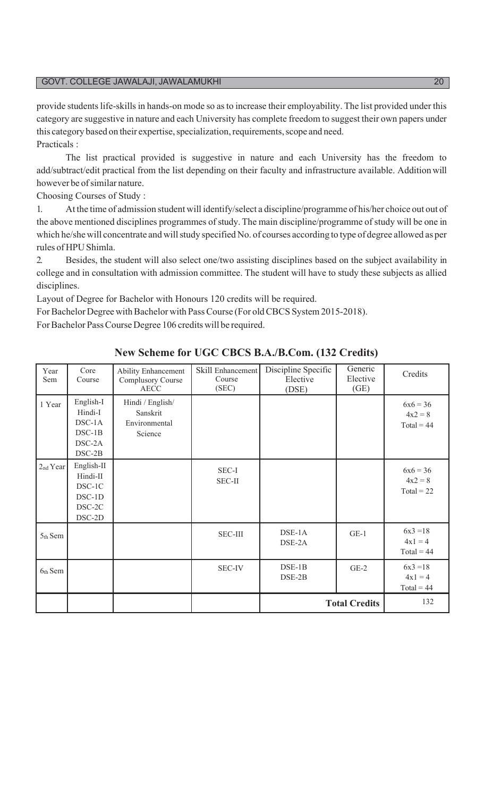provide studentslife-skillsin hands-on mode so asto increase their employability. The list provided under this category are suggestive in nature and each University has complete freedom to suggest their own papers under this category based on their expertise, specialization, requirements, scope and need. Practicals :

The list practical provided is suggestive in nature and each University has the freedom to add/subtract/edit practical from the list depending on their faculty and infrastructure available. Addition will however be of similar nature.

Choosing Courses of Study :

1. At the time of admission student will identify/select a discipline/programme of his/her choice out out of the above mentioned disciplines programmes of study. The main discipline/programme of study will be one in which he/she will concentrate and will study specified No. of courses according to type of degree allowed as per rules of HPU Shimla.

2. Besides, the student will also select one/two assisting disciplines based on the subject availability in college and in consultation with admission committee. The student will have to study these subjects as allied disciplines.

Layout of Degree for Bachelor with Honours 120 credits will be required.

For Bachelor Degree with Bachelor with Pass Course (For old CBCS System 2015-2018). For Bachelor Pass Course Degree 106 credits will be required.

| Year<br>Sem          | Core<br>Course                                                   | Ability Enhancement<br>Complusory Course<br>AECC         | Skill Enhancement<br>Course<br>(SEC) | Discipline Specific<br>Elective<br>(DSE) | Generic<br>Elective<br>(GE) | Credits                                 |
|----------------------|------------------------------------------------------------------|----------------------------------------------------------|--------------------------------------|------------------------------------------|-----------------------------|-----------------------------------------|
| 1 Year               | English-I<br>Hindi-I<br>DSC-1A<br>$DSC-1B$<br>DSC-2A<br>$DSC-2B$ | Hindi / English/<br>Sanskrit<br>Environmental<br>Science |                                      |                                          |                             | $6x6 = 36$<br>$4x2 = 8$<br>$Total = 44$ |
| 2 <sub>nd</sub> Year | English-II<br>Hindi-II<br>DSC-1C<br>DSC-1D<br>DSC-2C<br>DSC-2D   |                                                          | SEC-I<br>SEC-II                      |                                          |                             | $6x6 = 36$<br>$4x2 = 8$<br>$Total = 22$ |
| 5th Sem              |                                                                  |                                                          | <b>SEC-III</b>                       | DSE-1A<br>DSE-2A                         | $GE-1$                      | $6x3 = 18$<br>$4x1 = 4$<br>$Total = 44$ |
| $6th$ Sem            |                                                                  |                                                          | <b>SEC-IV</b>                        | $DSE-1B$<br>$DSE-2B$                     | $GE-2$                      | $6x3 = 18$<br>$4x1 = 4$<br>$Total = 44$ |
|                      |                                                                  |                                                          |                                      |                                          | <b>Total Credits</b>        | 132                                     |

### **New Scheme for UGC CBCS B.A./B.Com. (132 Credits)**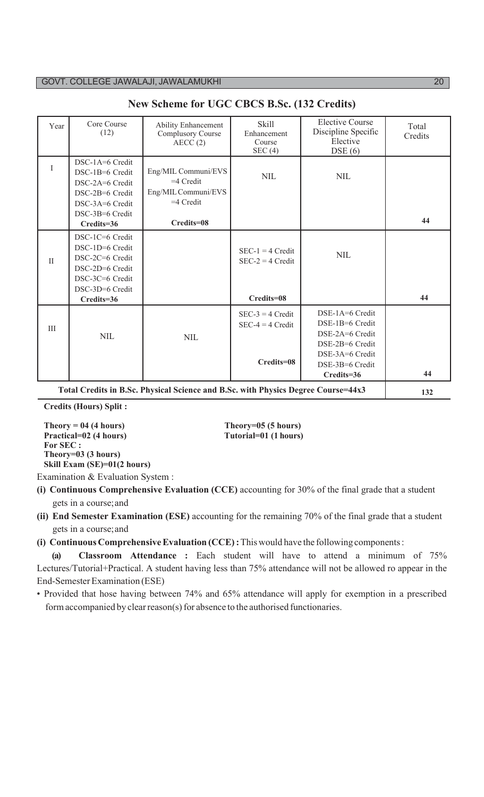| Year     | Core Course<br>(12)                                                                                                          | <b>Ability Enhancement</b><br><b>Complusory Course</b><br>AECC(2)                 | <b>Skill</b><br>Enhancement<br>Course<br>SEC(4)        | <b>Elective Course</b><br>Discipline Specific<br>Elective<br>DSE(6)                                                          | Total<br>Credits |
|----------|------------------------------------------------------------------------------------------------------------------------------|-----------------------------------------------------------------------------------|--------------------------------------------------------|------------------------------------------------------------------------------------------------------------------------------|------------------|
| I        | DSC-1A=6 Credit<br>DSC-1B=6 Credit<br>DSC-2A=6 Credit<br>DSC-2B=6 Credit<br>DSC-3A=6 Credit<br>DSC-3B=6 Credit               | Eng/MIL Communi/EVS<br>$=4$ Credit<br>Eng/MIL Communi/EVS<br>$=4$ Credit          | <b>NIL</b>                                             | <b>NIL</b>                                                                                                                   | 44               |
|          | Credits=36                                                                                                                   | Credits=08                                                                        |                                                        |                                                                                                                              |                  |
| $\rm II$ | DSC-1C=6 Credit<br>DSC-1D=6 Credit<br>DSC-2C=6 Credit<br>DSC-2D=6 Credit<br>DSC-3C=6 Credit<br>DSC-3D=6 Credit<br>Credits=36 |                                                                                   | $SEC-1 = 4 Credit$<br>$SEC-2 = 4 Credit$<br>Credits=08 | $\text{NIL}$                                                                                                                 | 44               |
| III      | $\text{NIL}$                                                                                                                 | $\text{NIL}$                                                                      | $SEC-3 = 4 Credit$<br>$SEC-4 = 4 Credit$<br>Credits=08 | DSE-1A=6 Credit<br>DSE-1B=6 Credit<br>DSE-2A=6 Credit<br>DSE-2B=6 Credit<br>DSE-3A=6 Credit<br>DSE-3B=6 Credit<br>Credits=36 | 44               |
|          |                                                                                                                              | Total Credits in B.Sc. Physical Science and B.Sc. with Physics Degree Course=44x3 |                                                        |                                                                                                                              | 132              |

**New Scheme for UGC CBCS B.Sc. (132 Credits)**

**Credits (Hours) Split :**

**Practical=02 (4 hours) Tutorial=01 (1 hours) For SEC : Theory=03 (3 hours) Skill Exam (SE)=01(2 hours)**

**Theory = 04 (4 hours) Theory=05 (5 hours)**

Examination & Evaluation System :

**(i) Continuous Comprehensive Evaluation (CCE)** accounting for 30% of the final grade that a student gets in a course;and

**(ii) End Semester Examination (ESE)** accounting for the remaining 70% of the final grade that a student gets in a course;and

**(i) Continuous Comprehensive Evaluation (CCE):** This would have the following components:

**(a) Classroom Attendance :** Each student will have to attend a minimum of 75% Lectures/Tutorial+Practical. A student having less than 75% attendance will not be allowed ro appear in the End-Semester Examination (ESE)

• Provided that hose having between 74% and 65% attendance will apply for exemption in a prescribed form accompanied by clear reason(s) for absence to the authorised functionaries.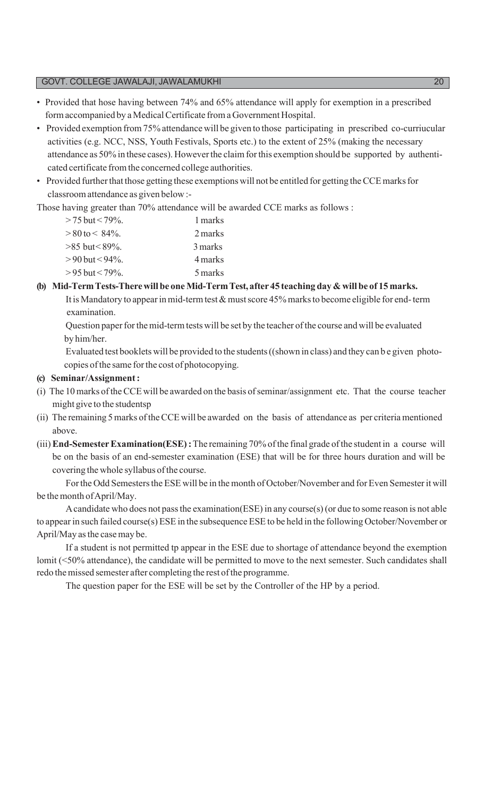- Provided that hose having between 74% and 65% attendance will apply for exemption in a prescribed form accompanied by a Medical Certificate from a Government Hospital.
- Provided exemption from75% attendance will be given to those participating in prescribed co-curriucular activities (e.g. NCC, NSS, Youth Festivals, Sports etc.) to the extent of 25% (making the necessary attendance as 50% in these cases). However the claim for this exemption should be supported by authenticated certificate fromthe concerned college authorities.
- Provided further that those getting these exemptions will not be entitled for getting the CCE marks for classroomattendance as given below :-

Those having greater than 70% attendance will be awarded CCE marks as follows :

| $>$ 75 but < 79%.     | 1 marks |  |
|-----------------------|---------|--|
| $>80$ to $< 84\%$ .   | 2 marks |  |
| $>85$ but $< 89\%$ .  | 3 marks |  |
| $>90$ but $< 94\%$ .  | 4 marks |  |
| $> 95$ but $< 79\%$ . | 5 marks |  |

### **(b) Mid-TermTests-Therewill be oneMid-TermTest, after 45 teaching day & will be of 15 marks.**

It is Mandatory to appear in mid-term test  $&$  must score 45% marks to become eligible for end-term examination.

Question paper for the mid-term tests will be set by the teacher of the course and will be evaluated by him/her.

Evaluated test booklets will be provided to the students((shown in class) and they can b e given photocopies ofthe same forthe cost of photocopying.

### **(c) Seminar/Assignment:**

- (i) The 10marks oftheCCE will be awarded on the basis ofseminar/assignment etc. That the course teacher might give to the studentsp
- (ii) The remaining 5 marks of the CCE will be awarded on the basis of attendance as per criteria mentioned above.
- (iii)**End-SemesterExamination(ESE):**The remaining 70% ofthe final grade ofthe student in a course will be on the basis of an end-semester examination (ESE) that will be for three hours duration and will be covering the whole syllabus of the course.

For the Odd Semesters the ESE will be in the month of October/November and for Even Semester it will be the month of April/May.

Acandidate who does not passthe examination(ESE) in any course(s)(or due to some reason is not able to appearin such failed course(s) ESE in the subsequence ESE to be held in the following October/November or April/May asthe casemay be.

If a student is not permitted tp appear in the ESE due to shortage of attendance beyond the exemption lomit (<50% attendance), the candidate will be permitted to move to the next semester. Such candidates shall redo the missed semester after completing the rest of the programme.

The question paper for the ESE will be set by the Controller of the HP by a period.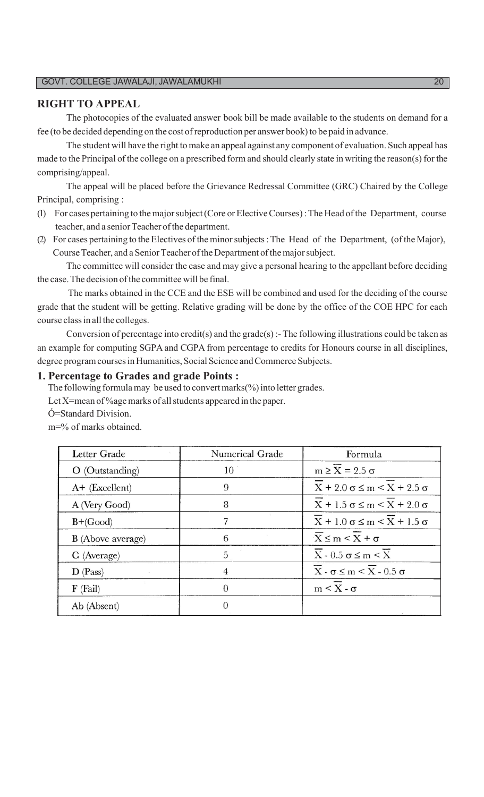### **RIGHT TO APPEAL**

The photocopies of the evaluated answer book bill be made available to the students on demand for a fee (to be decided depending on the cost of reproduction per answer book) to be paid in advance.

The student will have the right to make an appeal against any component of evaluation. Such appeal has made to the Principal of the college on a prescribed form and should clearly state in writing the reason(s) for the comprising/appeal.

The appeal will be placed before the Grievance Redressal Committee (GRC) Chaired by the College Principal, comprising :

- (1) For cases pertaining to themajorsubject(Core or ElectiveCourses):The Head ofthe Department, course teacher, and a senior Teacher of the department.
- (2) For cases pertaining to the Electives ofthe minorsubjects:The Head of the Department, (ofthe Major), Course Teacher, and a Senior Teacher of the Department of the major subject.

The committee will consider the case and may give a personal hearing to the appellant before deciding the case. The decision of the committee will be final.

The marks obtained in the CCE and the ESE will be combined and used for the deciding of the course grade that the student will be getting. Relative grading will be done by the office of the COE HPC for each course classin all the colleges.

Conversion of percentage into credit(s) and the grade(s) :- The following illustrations could be taken as an example for computing SGPA and CGPA from percentage to credits for Honours course in all disciplines, degree program courses in Humanities, Social Science and Commerce Subjects.

### **1. Percentage to Grades and grade Points :**

The following formulamay be used to convert marks( $\%$ ) into letter grades.

Let X=mean of %age marks of all students appeared in the paper.

Ó=Standard Division.

m=% of marks obtained.

| Letter Grade      | Numerical Grade | Formula                                                |
|-------------------|-----------------|--------------------------------------------------------|
| $O$ (Outstanding) | 10              | $m \geq X = 2.5 \sigma$                                |
| $A+$ (Excellent)  | 9               | $X + 2.0 \sigma \le m \le X + 2.5 \sigma$              |
| A (Very Good)     | 8               | $X + 1.5 \sigma \le m \le X + 2.0 \sigma$              |
| $B+(Good)$        |                 | $X + 1.0 \sigma \le m \le X + 1.5 \sigma$              |
| B (Above average) | 6               | $\overline{X} \leq m \leq X + \sigma$                  |
| C (Average)       | 5               | $\overline{X}$ - 0.5 $\sigma \leq m \leq \overline{X}$ |
| $D$ (Pass)        | $\overline{4}$  | $\overline{X}$ - $\sigma \leq m \leq X$ - 0.5 $\sigma$ |
| $F$ (Fail)        | 0               | $m < X - \sigma$                                       |
| Ab (Absent)       |                 |                                                        |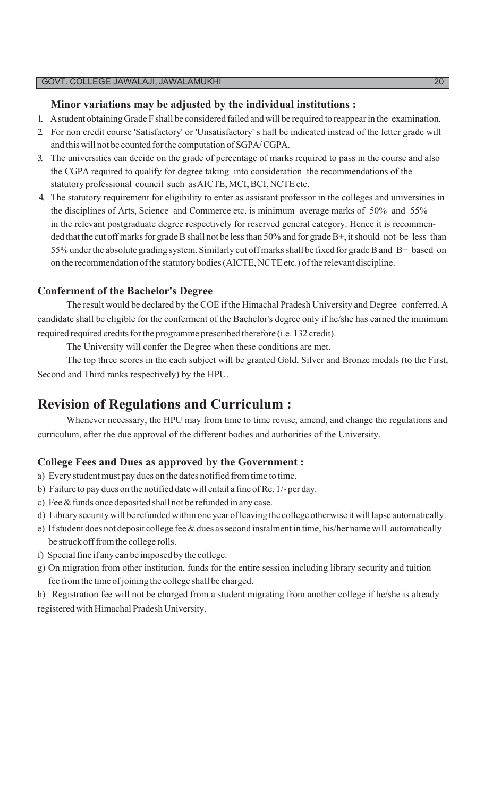### **Minor variations may be adjusted by the individual institutions :**

- 1. Astudent obtaining Grade F shall be considered failed and will be required to reappearin the examination.
- 2. For non credit course 'Satisfactory' or 'Unsatisfactory' s hall be indicated instead of the letter grade will and this will not be counted forthe computation of SGPA/CGPA.
- 3. The universities can decide on the grade of percentage of marks required to pass in the course and also the CGPA required to qualify for degree taking into consideration the recommendations of the statutory professional council such as AICTE, MCI, BCI, NCTE etc.
- 4. The statutory requirement for eligibility to enter as assistant professor in the colleges and universities in the disciplines of Arts, Science and Commerce etc. is minimum average marks of 50% and 55% in the relevant postgraduate degree respectively for reserved general category. Hence it is recommended that the cut off marks for grade B shall not be less than 50% and for grade B+, it should not be less than 55% under the absolute grading system. Similarly cut off marks shall be fixed for grade B and B+ based on on the recommendation of the statutory bodies (AICTE, NCTE etc.) of the relevant discipline.

### **Conferment of the Bachelor's Degree**

The result would be declared by the COE if the Himachal Pradesh University and Degree conferred. A candidate shall be eligible for the conferment of the Bachelor's degree only if he/she has earned the minimum required required credits for the programme prescribed therefore (i.e. 132 credit).

The University will confer the Degree when these conditions are met.

The top three scores in the each subject will be granted Gold, Silver and Bronze medals (to the First, Second and Third ranks respectively) by the HPU.

### **Revision of Regulations and Curriculum :**

Whenever necessary, the HPU may from time to time revise, amend, and change the regulations and curriculum, after the due approval of the different bodies and authorities of the University.

### **College Fees and Dues as approved by the Government :**

- a) Every student must pay dues on the dates notified from time to time.
- b) Failure to pay dues on the notified date will entail a fine of Re. 1/- per day.
- c) Fee&funds once deposited shall not be refunded in any case.
- d) Library security will be refunded within one year ofleaving the college otherwise itwill lapse automatically.
- e) If student does not deposit college fee & dues as second instalment in time, his/her name will automatically be struck off from the college rolls.
- f) Special fine if any can be imposed by the college.
- g) On migration from other institution, funds for the entire session including library security and tuition fee fromthe time ofjoining the college shall be charged.

h) Registration fee will not be charged from a student migrating from another college if he/she is already registered with Himachal Pradesh University.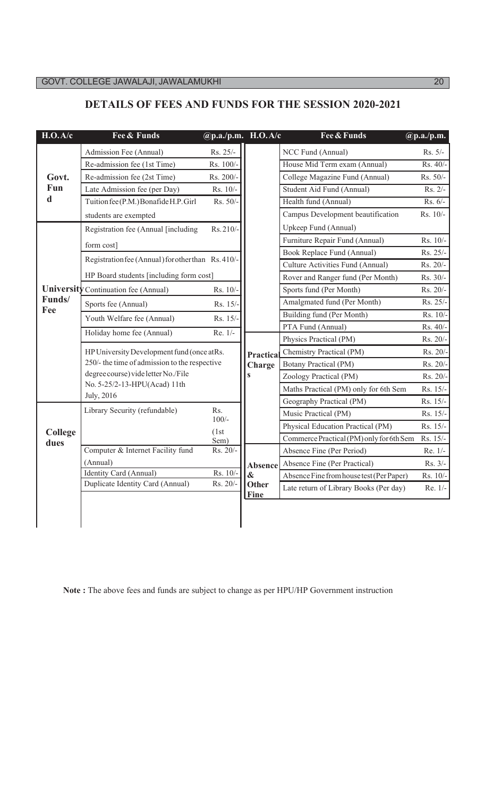### **DETAILS OF FEES AND FUNDS FOR THE SESSION 2020-2021**

| H.O.A/c       | Fee & Funds                                                         | @p.a./p.m. H.O.A/c   |                            | Fee & Funds                              | $\overline{\omega}$ p.a./p.m. |
|---------------|---------------------------------------------------------------------|----------------------|----------------------------|------------------------------------------|-------------------------------|
|               | Admission Fee (Annual)                                              | Rs. 25/-             |                            | NCC Fund (Annual)                        | Rs. 5/-                       |
|               | Re-admission fee (1st Time)                                         | Rs. 100/-            |                            | House Mid Term exam (Annual)             | Rs. 40/                       |
| Govt.         | Re-admission fee (2st Time)                                         | Rs. 200/-            |                            | College Magazine Fund (Annual)           | Rs. 50/-                      |
| Fun           | Late Admission fee (per Day)                                        | Rs. 10/-             |                            | Student Aid Fund (Annual)                | Rs. 2/-                       |
| $\mathbf d$   | Tuition fee (P.M.) Bonafide H.P. Girl                               | Rs. 50/-             |                            | Health fund (Annual)                     | Rs. 6/-                       |
|               | students are exempted                                               |                      |                            | Campus Development beautification        | Rs. 10/-                      |
|               | Registration fee (Annual [including                                 | Rs. 210/             |                            | Upkeep Fund (Annual)                     |                               |
|               | form cost]                                                          |                      |                            | Furniture Repair Fund (Annual)           | Rs. 10/-                      |
|               | Registration fee (Annual) for other than Rs. 410/-                  |                      |                            | Book Replace Fund (Annual)               | Rs. 25/-                      |
|               |                                                                     |                      |                            | Culture Activities Fund (Annual)         | Rs. 20/-                      |
|               | HP Board students [including form cost]                             |                      |                            | Rover and Ranger fund (Per Month)        | Rs. 30/-                      |
|               | University Continuation fee (Annual)                                | Rs. 10/              |                            | Sports fund (Per Month)                  | Rs. 20/-                      |
| Funds/<br>Fee | Sports fee (Annual)                                                 | Rs. 15/-             |                            | Amalgmated fund (Per Month)              | Rs. 25/-                      |
|               | Youth Welfare fee (Annual)                                          | Rs. 15/-             |                            | Building fund (Per Month)                | Rs. 10/                       |
|               | Holiday home fee (Annual)                                           | Re. 1/-              |                            | PTA Fund (Annual)                        | Rs. 40/-                      |
|               |                                                                     |                      |                            | Physics Practical (PM)                   | Rs. 20/-                      |
|               | HP University Development fund (once at Rs.                         |                      | Practical                  | Chemistry Practical (PM)                 | Rs. 20/                       |
|               | 250/- the time of admission to the respective                       |                      | Charge                     | <b>Botany Practical (PM)</b>             | Rs. 20/-                      |
|               | degree course) vide letter No./File<br>No. 5-25/2-13-HPU(Acad) 11th |                      | $\mathbf{s}$               | Zoology Practical (PM)                   | Rs. 20/                       |
|               | July, 2016                                                          |                      |                            | Maths Practical (PM) only for 6th Sem    | Rs. 15/-                      |
|               |                                                                     |                      |                            | Geography Practical (PM)                 | Rs. 15/-                      |
|               | Library Security (refundable)                                       | Rs.<br>$100/-$       |                            | Music Practical (PM)                     | Rs. 15/-                      |
| College       |                                                                     | (1st)                |                            | Physical Education Practical (PM)        | Rs. 15/-                      |
| dues          |                                                                     | Sem)                 |                            | Commerce Practical (PM) only for 6th Sem | Rs. 15/-                      |
|               | Computer & Internet Facility fund                                   | Rs. 20/-             |                            | Absence Fine (Per Period)                | Re. 1/-                       |
|               | (Annual)                                                            |                      | Absence                    | Absence Fine (Per Practical)             | Rs. 3/-                       |
|               | Identity Card (Annual)<br>Duplicate Identity Card (Annual)          | Rs. 10/-<br>Rs. 20/- | $\boldsymbol{\&}$<br>Other | Absence Fine from house test (Per Paper) | Rs. 10/                       |
|               |                                                                     |                      |                            | Late return of Library Books (Per day)   | Re. 1/-                       |

**Note :** The above fees and funds are subject to change as per HPU/HP Government instruction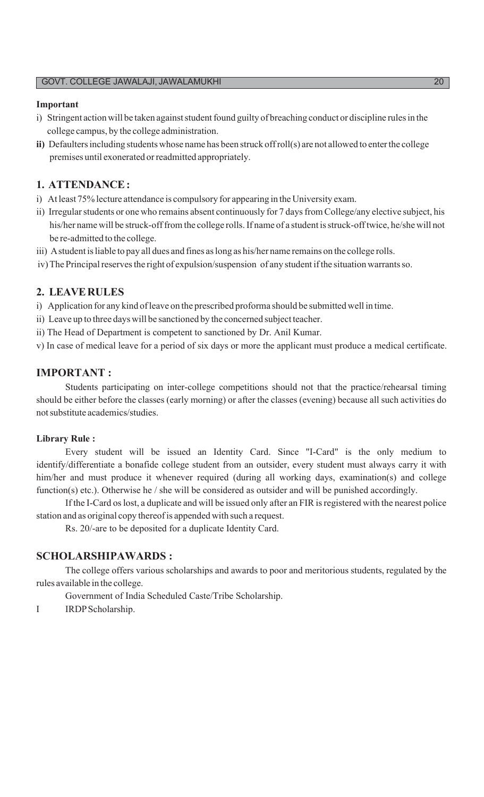#### **Important**

- i) Stringent action will be taken against student found guilty of breaching conduct or discipline rules in the college campus, by the college administration.
- **ii)** Defaulters including students whose name has been struck off roll(s) are not allowed to enter the college premises until exonerated orreadmitted appropriately.

### **1. ATTENDANCE:**

- i) At least 75% lecture attendance is compulsory for appearing in the University exam.
- ii) Irregular students or one who remains absent continuously for 7 days from College/any elective subject, his his/her name will be struck-off from the college rolls. If name of a student is struck-off twice, he/she will not be re-admitted to the college.
- iii) A student is liable to pay all dues and fines as long as his/her name remains on the college rolls.
- iv) The Principal reserves the right of expulsion/suspension of any student if the situation warrants so.

### **2. LEAVERULES**

- i) Application for any kind of leave on the prescribed proforma should be submitted well in time.
- ii) Leave up to three days will be sanctioned by the concerned subject teacher.
- ii) The Head of Department is competent to sanctioned by Dr. Anil Kumar.
- v) In case of medical leave for a period of six days or more the applicant must produce a medical certificate.

### **IMPORTANT :**

Students participating on inter-college competitions should not that the practice/rehearsal timing should be either before the classes (early morning) or after the classes (evening) because all such activities do notsubstitute academics/studies.

#### **Library Rule :**

Every student will be issued an Identity Card. Since "I-Card" is the only medium to identify/differentiate a bonafide college student from an outsider, every student must always carry it with him/her and must produce it whenever required (during all working days, examination(s) and college function(s) etc.). Otherwise he / she will be considered as outsider and will be punished accordingly.

If the I-Card os lost, a duplicate and will be issued only after an FIR is registered with the nearest police station and as original copy thereof is appended with such a request.

Rs. 20/-are to be deposited for a duplicate Identity Card.

### **SCHOLARSHIPAWARDS :**

The college offers various scholarships and awards to poor and meritorious students, regulated by the rules available in the college.

Government of India Scheduled Caste/Tribe Scholarship.

I IRDPScholarship.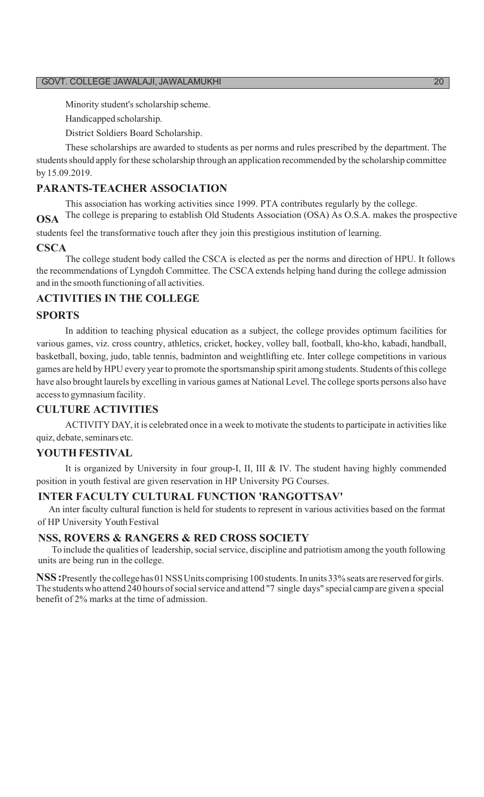Minority student's scholarship scheme.

Handicapped scholarship.

District Soldiers Board Scholarship.

These scholarships are awarded to students as per norms and rules prescribed by the department. The students should apply for these scholarship through an application recommended by the scholarship committee by 15.09.2019.

### **PARANTS-TEACHER ASSOCIATION**

This association has working activities since 1999. PTA contributes regularly by the college. **OSA** The college is preparing to establish Old Students Association (OSA) As O.S.A. makes the prospective

students feel the transformative touch after they join this prestigious institution of learning.

#### **CSCA**

The college student body called the CSCA is elected as per the norms and direction of HPU. It follows the recommendations ofLyngdoh Committee. The CSCA extends helping hand during the college admission and in the smooth functioning of all activities.

### **ACTIVITIES IN THE COLLEGE**

### **SPORTS**

In addition to teaching physical education as a subject, the college provides optimum facilities for various games, viz. cross country, athletics, cricket, hockey, volley ball, football, kho-kho, kabadi, handball, basketball, boxing, judo, table tennis, badminton and weightlifting etc. Inter college competitions in various games are held by HPU every yearto promote the sportsmanship spirit among students. Students ofthis college have also brought laurels by excelling in various games at National Level. The college sports persons also have access to gymnasium facility.

### **CULTURE ACTIVITIES**

ACTIVITY DAY, it is celebrated once in a week to motivate the students to participate in activities like quiz, debate, seminars etc.

#### **YOUTH FESTIVAL**

It is organized by University in four group-I, II, III & IV. The student having highly commended position in youth festival are given reservation in HP University PG Courses.

#### **INTER FACULTY CULTURAL FUNCTION 'RANGOTTSAV'**

An inter faculty cultural function is held for students to represent in various activities based on the format of HP University Youth Festival

### **NSS, ROVERS & RANGERS & RED CROSS SOCIETY**

To include the qualities of leadership, social service, discipline and patriotism among the youth following units are being run in the college.

NSS: Presently the college has 01 NSS Units comprising 100 students. In units 33% seats are reserved for girls. The students who attend 240 hours of social service and attend "7 single days" special camp are given a special benefit of 2% marks at the time of admission.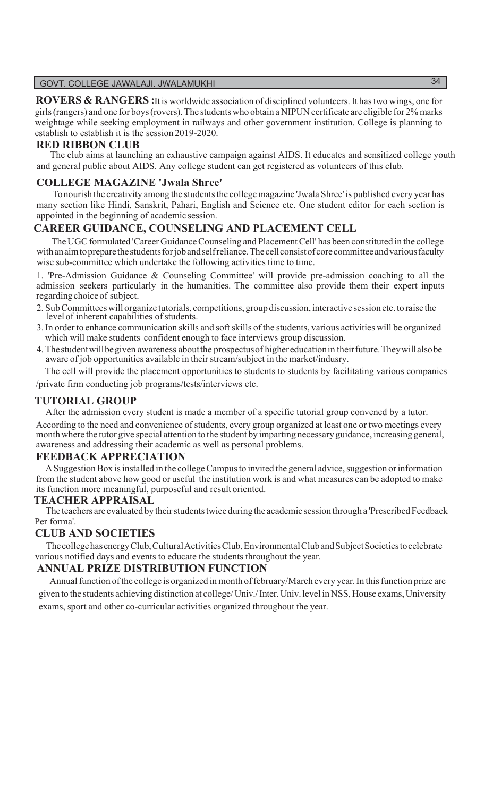**ROVERS & RANGERS :**It is worldwide association of disciplined volunteers. It hastwo wings, one for girls(rangers) and one for boys(rovers).The students who obtain aNIPUN certificate are eligible for 2% marks weightage while seeking employment in railways and other government institution. College is planning to establish to establish it is the session 2019-2020.

### **RED RIBBON CLUB**

The club aims at launching an exhaustive campaign against AIDS. It educates and sensitized college youth and general public about AIDS. Any college student can get registered as volunteers of this club.

### **COLLEGE MAGAZINE 'Jwala Shree'**

To nourish the creativity among the students the college magazine 'Jwala Shree' is published every year has many section like Hindi, Sanskrit, Pahari, English and Science etc. One student editor for each section is appointed in the beginning of academic session.

### **CAREER GUIDANCE, COUNSELING AND PLACEMENT CELL**

The UGC formulated 'Career Guidance Counseling and Placement Cell' has been constituted in the college with an aim to prepare the students for job and self reliance. The cell consist of core committee and various faculty wise sub-committee which undertake the following activities time to time.

1. 'Pre-Admission Guidance & Counseling Committee' will provide pre-admission coaching to all the admission seekers particularly in the humanities. The committee also provide them their expert inputs regarding choice of subject.

- 2. Sub Committees will organize tutorials, competitions, group discussion, interactive session etc. to raise the level of inherent capabilities of students.
- 3.In order to enhance communication skills and softskills of the students, various activities will be organized which will make students confident enough to face interviews group discussion.
- 4. Thestudentwillbegiven awareness aboutthe prospectusof highereducationin theirfuture.Theywillalsobe aware of job opportunities available in their stream/subject in the market/indusry.

The cell will provide the placement opportunities to students to students by facilitating various companies /private firm conducting job programs/tests/interviews etc.

### **TUTORIAL GROUP**

After the admission every student is made a member of a specific tutorial group convened by a tutor. According to the need and convenience of students, every group organized at least one or two meetings every month where the tutor give special attention to the student by imparting necessary guidance, increasing general, awareness and addressing their academic as well as personal problems.

### **FEEDBACK APPRECIATION**

A Suggestion Box is installed in the college Campus to invited the general advice, suggestion or information from the student above how good or useful the institution work is and what measures can be adopted to make its function more meaningful, purposeful and result oriented.

### **TEACHER APPRAISAL**

The teachers are evaluated by their students twice during the academic session through a 'Prescribed Feedback Per forma'.

### **CLUB AND SOCIETIES**

ThecollegehasenergyClub,CulturalActivitiesClub,EnvironmentalClubandSubjectSocietiestocelebrate various notified days and events to educate the students throughout the year.

### **ANNUAL PRIZE DISTRIBUTION FUNCTION**

Annual function of the college is organized in month of february/March every year. In this function prize are given to the students achieving distinction at college/ Univ./Inter.Univ.level in NSS, House exams, University exams, sport and other co-curricular activities organized throughout the year.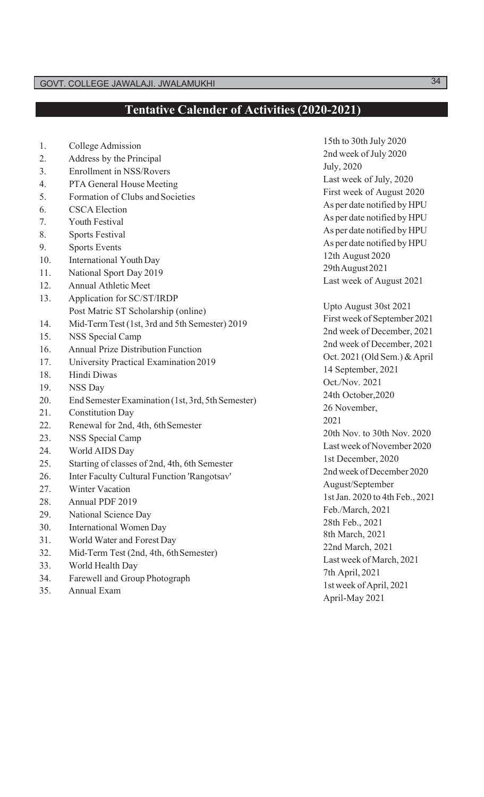## **Tentative Calender of Activities (2020-2021)**

| 1.<br>College Admission<br>2nd week of July 2020<br>Address by the Principal<br>2.<br>July, 2020<br><b>Enrollment</b> in NSS/Rovers<br>3.<br>Last week of July, 2020<br>PTA General House Meeting<br>4.<br>First week of August 2020<br>Formation of Clubs and Societies<br>5.<br>As per date notified by HPU<br><b>CSCA Election</b><br>6.<br>As per date notified by HPU<br>Youth Festival<br>7.<br>As per date notified by HPU<br>8.<br><b>Sports Festival</b><br>As per date notified by HPU<br><b>Sports Events</b><br>9.<br>12th August 2020<br><b>International Youth Day</b><br>10.<br>29thAugust2021<br>National Sport Day 2019<br>11.<br>Last week of August 2021<br><b>Annual Athletic Meet</b><br>12.<br>Application for SC/ST/IRDP<br>13.<br>Upto August 30st 2021<br>Post Matric ST Scholarship (online)<br>First week of September 2021<br>Mid-Term Test (1st, 3rd and 5th Semester) 2019<br>14.<br>2nd week of December, 2021<br><b>NSS</b> Special Camp<br>15.<br>2nd week of December, 2021<br><b>Annual Prize Distribution Function</b><br>16.<br>Oct. 2021 (Old Sem.) & April<br>University Practical Examination 2019<br>17.<br>14 September, 2021<br>Hindi Diwas<br>18.<br>Oct./Nov. 2021<br>NSS Day<br>19.<br>24th October, 2020<br>20.<br>End Semester Examination (1st, 3rd, 5th Semester)<br>26 November,<br><b>Constitution Day</b><br>21.<br>2021<br>Renewal for 2nd, 4th, 6th Semester<br>22.<br>20th Nov. to 30th Nov. 2020<br>NSS Special Camp<br>23.<br>Last week of November 2020<br>World AIDS Day<br>24.<br>1st December, 2020<br>Starting of classes of 2nd, 4th, 6th Semester<br>25.<br>2nd week of December 2020<br>Inter Faculty Cultural Function 'Rangotsav'<br>26.<br>August/September<br>Winter Vacation<br>27.<br>1st Jan. 2020 to 4th Feb., 2021<br>Annual PDF 2019<br>28.<br>Feb./March, 2021<br>National Science Day<br>29. |  |
|----------------------------------------------------------------------------------------------------------------------------------------------------------------------------------------------------------------------------------------------------------------------------------------------------------------------------------------------------------------------------------------------------------------------------------------------------------------------------------------------------------------------------------------------------------------------------------------------------------------------------------------------------------------------------------------------------------------------------------------------------------------------------------------------------------------------------------------------------------------------------------------------------------------------------------------------------------------------------------------------------------------------------------------------------------------------------------------------------------------------------------------------------------------------------------------------------------------------------------------------------------------------------------------------------------------------------------------------------------------------------------------------------------------------------------------------------------------------------------------------------------------------------------------------------------------------------------------------------------------------------------------------------------------------------------------------------------------------------------------------------------------------------------------------------------------------------------------------------------------------------|--|
|                                                                                                                                                                                                                                                                                                                                                                                                                                                                                                                                                                                                                                                                                                                                                                                                                                                                                                                                                                                                                                                                                                                                                                                                                                                                                                                                                                                                                                                                                                                                                                                                                                                                                                                                                                                                                                                                            |  |
|                                                                                                                                                                                                                                                                                                                                                                                                                                                                                                                                                                                                                                                                                                                                                                                                                                                                                                                                                                                                                                                                                                                                                                                                                                                                                                                                                                                                                                                                                                                                                                                                                                                                                                                                                                                                                                                                            |  |
|                                                                                                                                                                                                                                                                                                                                                                                                                                                                                                                                                                                                                                                                                                                                                                                                                                                                                                                                                                                                                                                                                                                                                                                                                                                                                                                                                                                                                                                                                                                                                                                                                                                                                                                                                                                                                                                                            |  |
|                                                                                                                                                                                                                                                                                                                                                                                                                                                                                                                                                                                                                                                                                                                                                                                                                                                                                                                                                                                                                                                                                                                                                                                                                                                                                                                                                                                                                                                                                                                                                                                                                                                                                                                                                                                                                                                                            |  |
|                                                                                                                                                                                                                                                                                                                                                                                                                                                                                                                                                                                                                                                                                                                                                                                                                                                                                                                                                                                                                                                                                                                                                                                                                                                                                                                                                                                                                                                                                                                                                                                                                                                                                                                                                                                                                                                                            |  |
|                                                                                                                                                                                                                                                                                                                                                                                                                                                                                                                                                                                                                                                                                                                                                                                                                                                                                                                                                                                                                                                                                                                                                                                                                                                                                                                                                                                                                                                                                                                                                                                                                                                                                                                                                                                                                                                                            |  |
|                                                                                                                                                                                                                                                                                                                                                                                                                                                                                                                                                                                                                                                                                                                                                                                                                                                                                                                                                                                                                                                                                                                                                                                                                                                                                                                                                                                                                                                                                                                                                                                                                                                                                                                                                                                                                                                                            |  |
|                                                                                                                                                                                                                                                                                                                                                                                                                                                                                                                                                                                                                                                                                                                                                                                                                                                                                                                                                                                                                                                                                                                                                                                                                                                                                                                                                                                                                                                                                                                                                                                                                                                                                                                                                                                                                                                                            |  |
|                                                                                                                                                                                                                                                                                                                                                                                                                                                                                                                                                                                                                                                                                                                                                                                                                                                                                                                                                                                                                                                                                                                                                                                                                                                                                                                                                                                                                                                                                                                                                                                                                                                                                                                                                                                                                                                                            |  |
|                                                                                                                                                                                                                                                                                                                                                                                                                                                                                                                                                                                                                                                                                                                                                                                                                                                                                                                                                                                                                                                                                                                                                                                                                                                                                                                                                                                                                                                                                                                                                                                                                                                                                                                                                                                                                                                                            |  |
|                                                                                                                                                                                                                                                                                                                                                                                                                                                                                                                                                                                                                                                                                                                                                                                                                                                                                                                                                                                                                                                                                                                                                                                                                                                                                                                                                                                                                                                                                                                                                                                                                                                                                                                                                                                                                                                                            |  |
|                                                                                                                                                                                                                                                                                                                                                                                                                                                                                                                                                                                                                                                                                                                                                                                                                                                                                                                                                                                                                                                                                                                                                                                                                                                                                                                                                                                                                                                                                                                                                                                                                                                                                                                                                                                                                                                                            |  |
|                                                                                                                                                                                                                                                                                                                                                                                                                                                                                                                                                                                                                                                                                                                                                                                                                                                                                                                                                                                                                                                                                                                                                                                                                                                                                                                                                                                                                                                                                                                                                                                                                                                                                                                                                                                                                                                                            |  |
|                                                                                                                                                                                                                                                                                                                                                                                                                                                                                                                                                                                                                                                                                                                                                                                                                                                                                                                                                                                                                                                                                                                                                                                                                                                                                                                                                                                                                                                                                                                                                                                                                                                                                                                                                                                                                                                                            |  |
|                                                                                                                                                                                                                                                                                                                                                                                                                                                                                                                                                                                                                                                                                                                                                                                                                                                                                                                                                                                                                                                                                                                                                                                                                                                                                                                                                                                                                                                                                                                                                                                                                                                                                                                                                                                                                                                                            |  |
|                                                                                                                                                                                                                                                                                                                                                                                                                                                                                                                                                                                                                                                                                                                                                                                                                                                                                                                                                                                                                                                                                                                                                                                                                                                                                                                                                                                                                                                                                                                                                                                                                                                                                                                                                                                                                                                                            |  |
|                                                                                                                                                                                                                                                                                                                                                                                                                                                                                                                                                                                                                                                                                                                                                                                                                                                                                                                                                                                                                                                                                                                                                                                                                                                                                                                                                                                                                                                                                                                                                                                                                                                                                                                                                                                                                                                                            |  |
|                                                                                                                                                                                                                                                                                                                                                                                                                                                                                                                                                                                                                                                                                                                                                                                                                                                                                                                                                                                                                                                                                                                                                                                                                                                                                                                                                                                                                                                                                                                                                                                                                                                                                                                                                                                                                                                                            |  |
|                                                                                                                                                                                                                                                                                                                                                                                                                                                                                                                                                                                                                                                                                                                                                                                                                                                                                                                                                                                                                                                                                                                                                                                                                                                                                                                                                                                                                                                                                                                                                                                                                                                                                                                                                                                                                                                                            |  |
|                                                                                                                                                                                                                                                                                                                                                                                                                                                                                                                                                                                                                                                                                                                                                                                                                                                                                                                                                                                                                                                                                                                                                                                                                                                                                                                                                                                                                                                                                                                                                                                                                                                                                                                                                                                                                                                                            |  |
|                                                                                                                                                                                                                                                                                                                                                                                                                                                                                                                                                                                                                                                                                                                                                                                                                                                                                                                                                                                                                                                                                                                                                                                                                                                                                                                                                                                                                                                                                                                                                                                                                                                                                                                                                                                                                                                                            |  |
|                                                                                                                                                                                                                                                                                                                                                                                                                                                                                                                                                                                                                                                                                                                                                                                                                                                                                                                                                                                                                                                                                                                                                                                                                                                                                                                                                                                                                                                                                                                                                                                                                                                                                                                                                                                                                                                                            |  |
|                                                                                                                                                                                                                                                                                                                                                                                                                                                                                                                                                                                                                                                                                                                                                                                                                                                                                                                                                                                                                                                                                                                                                                                                                                                                                                                                                                                                                                                                                                                                                                                                                                                                                                                                                                                                                                                                            |  |
|                                                                                                                                                                                                                                                                                                                                                                                                                                                                                                                                                                                                                                                                                                                                                                                                                                                                                                                                                                                                                                                                                                                                                                                                                                                                                                                                                                                                                                                                                                                                                                                                                                                                                                                                                                                                                                                                            |  |
|                                                                                                                                                                                                                                                                                                                                                                                                                                                                                                                                                                                                                                                                                                                                                                                                                                                                                                                                                                                                                                                                                                                                                                                                                                                                                                                                                                                                                                                                                                                                                                                                                                                                                                                                                                                                                                                                            |  |
|                                                                                                                                                                                                                                                                                                                                                                                                                                                                                                                                                                                                                                                                                                                                                                                                                                                                                                                                                                                                                                                                                                                                                                                                                                                                                                                                                                                                                                                                                                                                                                                                                                                                                                                                                                                                                                                                            |  |
|                                                                                                                                                                                                                                                                                                                                                                                                                                                                                                                                                                                                                                                                                                                                                                                                                                                                                                                                                                                                                                                                                                                                                                                                                                                                                                                                                                                                                                                                                                                                                                                                                                                                                                                                                                                                                                                                            |  |
|                                                                                                                                                                                                                                                                                                                                                                                                                                                                                                                                                                                                                                                                                                                                                                                                                                                                                                                                                                                                                                                                                                                                                                                                                                                                                                                                                                                                                                                                                                                                                                                                                                                                                                                                                                                                                                                                            |  |
|                                                                                                                                                                                                                                                                                                                                                                                                                                                                                                                                                                                                                                                                                                                                                                                                                                                                                                                                                                                                                                                                                                                                                                                                                                                                                                                                                                                                                                                                                                                                                                                                                                                                                                                                                                                                                                                                            |  |
|                                                                                                                                                                                                                                                                                                                                                                                                                                                                                                                                                                                                                                                                                                                                                                                                                                                                                                                                                                                                                                                                                                                                                                                                                                                                                                                                                                                                                                                                                                                                                                                                                                                                                                                                                                                                                                                                            |  |
| 28th Feb., 2021<br><b>International Women Day</b><br>30.                                                                                                                                                                                                                                                                                                                                                                                                                                                                                                                                                                                                                                                                                                                                                                                                                                                                                                                                                                                                                                                                                                                                                                                                                                                                                                                                                                                                                                                                                                                                                                                                                                                                                                                                                                                                                   |  |
| 8th March, 2021<br>World Water and Forest Day<br>31.                                                                                                                                                                                                                                                                                                                                                                                                                                                                                                                                                                                                                                                                                                                                                                                                                                                                                                                                                                                                                                                                                                                                                                                                                                                                                                                                                                                                                                                                                                                                                                                                                                                                                                                                                                                                                       |  |
| 22nd March, 2021<br>32.<br>Mid-Term Test (2nd, 4th, 6th Semester)                                                                                                                                                                                                                                                                                                                                                                                                                                                                                                                                                                                                                                                                                                                                                                                                                                                                                                                                                                                                                                                                                                                                                                                                                                                                                                                                                                                                                                                                                                                                                                                                                                                                                                                                                                                                          |  |
| Last week of March, 2021<br>World Health Day<br>33.                                                                                                                                                                                                                                                                                                                                                                                                                                                                                                                                                                                                                                                                                                                                                                                                                                                                                                                                                                                                                                                                                                                                                                                                                                                                                                                                                                                                                                                                                                                                                                                                                                                                                                                                                                                                                        |  |
| 7th April, 2021<br>Farewell and Group Photograph<br>34.                                                                                                                                                                                                                                                                                                                                                                                                                                                                                                                                                                                                                                                                                                                                                                                                                                                                                                                                                                                                                                                                                                                                                                                                                                                                                                                                                                                                                                                                                                                                                                                                                                                                                                                                                                                                                    |  |
| 1st week of April, 2021<br>Annual Exam<br>35.                                                                                                                                                                                                                                                                                                                                                                                                                                                                                                                                                                                                                                                                                                                                                                                                                                                                                                                                                                                                                                                                                                                                                                                                                                                                                                                                                                                                                                                                                                                                                                                                                                                                                                                                                                                                                              |  |
| April-May 2021                                                                                                                                                                                                                                                                                                                                                                                                                                                                                                                                                                                                                                                                                                                                                                                                                                                                                                                                                                                                                                                                                                                                                                                                                                                                                                                                                                                                                                                                                                                                                                                                                                                                                                                                                                                                                                                             |  |
|                                                                                                                                                                                                                                                                                                                                                                                                                                                                                                                                                                                                                                                                                                                                                                                                                                                                                                                                                                                                                                                                                                                                                                                                                                                                                                                                                                                                                                                                                                                                                                                                                                                                                                                                                                                                                                                                            |  |
|                                                                                                                                                                                                                                                                                                                                                                                                                                                                                                                                                                                                                                                                                                                                                                                                                                                                                                                                                                                                                                                                                                                                                                                                                                                                                                                                                                                                                                                                                                                                                                                                                                                                                                                                                                                                                                                                            |  |